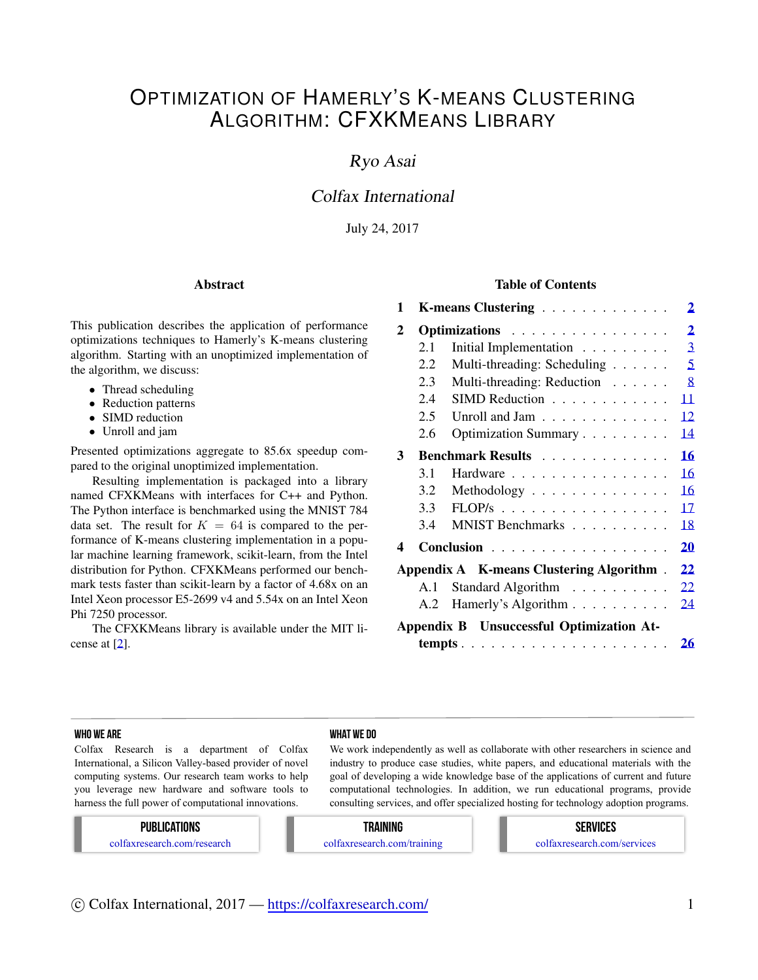# OPTIMIZATION OF HAMERLY'S K-MEANS CLUSTERING ALGORITHM: CFXKMEANS LIBRARY

## Ryo Asai

## Colfax International

July 24, 2017

#### Abstract

This publication describes the application of performance optimizations techniques to Hamerly's K-means clustering algorithm. Starting with an unoptimized implementation of the algorithm, we discuss:

- *•* Thread scheduling
- *•* Reduction patterns
- *•* SIMD reduction
- *•* Unroll and jam

Presented optimizations aggregate to 85.6x speedup compared to the original unoptimized implementation.

Resulting implementation is packaged into a library named CFXKMeans with interfaces for C++ and Python. The Python interface is benchmarked using the MNIST 784 data set. The result for  $K = 64$  is compared to the performance of K-means clustering implementation in a popular machine learning framework, scikit-learn, from the Intel distribution for Python. CFXKMeans performed our benchmark tests faster than scikit-learn by a factor of 4.68x on an Intel Xeon processor E5-2699 v4 and 5.54x on an Intel Xeon Phi 7250 processor.

The CFXKMeans library is available under the MIT license at [[2\]](#page-20-0).

#### Table of Contents

| 1                                        |               | $\overline{2}$<br>K-means Clustering              |  |  |  |
|------------------------------------------|---------------|---------------------------------------------------|--|--|--|
| $\mathbf{2}$                             | Optimizations |                                                   |  |  |  |
|                                          | 2.1           | $\overline{3}$<br>Initial Implementation          |  |  |  |
|                                          | 2.2           | 5<br>Multi-threading: Scheduling                  |  |  |  |
|                                          | 2.3           | 8<br>Multi-threading: Reduction                   |  |  |  |
|                                          | 2.4           | SIMD Reduction<br>11                              |  |  |  |
|                                          | 2.5           | 12<br>Unroll and Jam                              |  |  |  |
|                                          | 2.6           | Optimization Summary<br>14                        |  |  |  |
| 3                                        |               | 16<br>Benchmark Results                           |  |  |  |
|                                          | 3.1           | 16<br>Hardware                                    |  |  |  |
|                                          | 3.2           | 16<br>Methodology $\dots \dots \dots \dots \dots$ |  |  |  |
|                                          | 3.3           | 17<br>$FLOP/s$                                    |  |  |  |
|                                          | 3.4           | MNIST Benchmarks<br>18                            |  |  |  |
| 4                                        |               | Conclusion<br>20                                  |  |  |  |
|                                          |               | Appendix A K-means Clustering Algorithm.<br>22    |  |  |  |
|                                          | A.1           | Standard Algorithm<br>22                          |  |  |  |
|                                          | A.2           | Hamerly's Algorithm<br>24                         |  |  |  |
| Appendix B Unsuccessful Optimization At- |               |                                                   |  |  |  |
|                                          |               | 26                                                |  |  |  |

#### WHO WE ARE WHO WE ARE WHO WE ARE WHO WE ARE WHAT WE DO

Colfax Research is a department of Colfax International, a Silicon Valley-based provider of novel computing systems. Our research team works to help you leverage new hardware and software tools to harness the full power of computational innovations.

We work independently as well as collaborate with other researchers in science and industry to produce case studies, white papers, and educational materials with the goal of developing a wide knowledge base of the applications of current and future computational technologies. In addition, we run educational programs, provide consulting services, and offer specialized hosting for technology adoption programs.

#### PUBLICATIONS

colfaxresearch.com/research

#### TRAINING

colfaxresearch.com/training

#### SERVICES colfaxresearch.com/services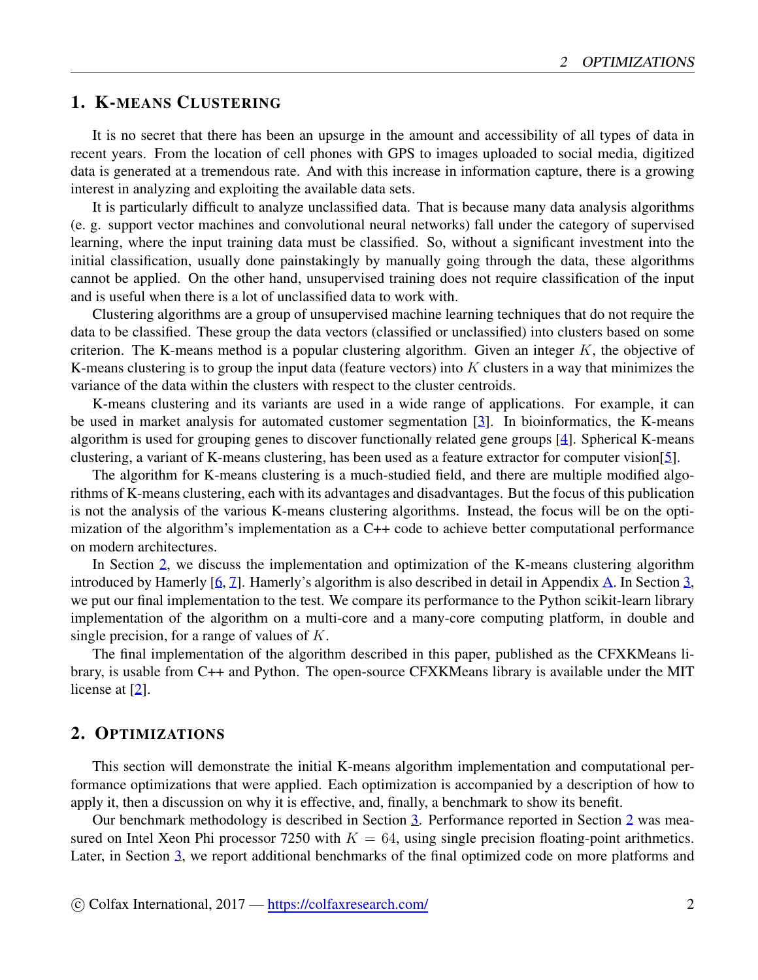## <span id="page-1-0"></span>1. K-MEANS CLUSTERING

It is no secret that there has been an upsurge in the amount and accessibility of all types of data in recent years. From the location of cell phones with GPS to images uploaded to social media, digitized data is generated at a tremendous rate. And with this increase in information capture, there is a growing interest in analyzing and exploiting the available data sets.

It is particularly difficult to analyze unclassified data. That is because many data analysis algorithms (e. g. support vector machines and convolutional neural networks) fall under the category of supervised learning, where the input training data must be classified. So, without a significant investment into the initial classification, usually done painstakingly by manually going through the data, these algorithms cannot be applied. On the other hand, unsupervised training does not require classification of the input and is useful when there is a lot of unclassified data to work with.

Clustering algorithms are a group of unsupervised machine learning techniques that do not require the data to be classified. These group the data vectors (classified or unclassified) into clusters based on some criterion. The K-means method is a popular clustering algorithm. Given an integer *K*, the objective of K-means clustering is to group the input data (feature vectors) into *K* clusters in a way that minimizes the variance of the data within the clusters with respect to the cluster centroids.

K-means clustering and its variants are used in a wide range of applications. For example, it can be used in market analysis for automated customer segmentation [\[3](#page-20-1)]. In bioinformatics, the K-means algorithm is used for grouping genes to discover functionally related gene groups [[4\]](#page-20-2). Spherical K-means clustering, a variant of K-means clustering, has been used as a feature extractor for computer vision[[5\]](#page-20-3).

The algorithm for K-means clustering is a much-studied field, and there are multiple modified algorithms of K-means clustering, each with its advantages and disadvantages. But the focus of this publication is not the analysis of the various K-means clustering algorithms. Instead, the focus will be on the optimization of the algorithm's implementation as a C++ code to achieve better computational performance on modern architectures.

In Section [2,](#page-1-1) we discuss the implementation and optimization of the K-means clustering algorithm introduced by Hamerly [[6,](#page-20-4) [7](#page-20-5)]. Hamerly's algorithm is also described in detail in Appendix [A](#page-21-0). In Section [3](#page-15-0), we put our final implementation to the test. We compare its performance to the Python scikit-learn library implementation of the algorithm on a multi-core and a many-core computing platform, in double and single precision, for a range of values of *K*.

The final implementation of the algorithm described in this paper, published as the CFXKMeans library, is usable from C++ and Python. The open-source CFXKMeans library is available under the MIT license at [[2\]](#page-20-0).

#### <span id="page-1-1"></span>2. OPTIMIZATIONS

This section will demonstrate the initial K-means algorithm implementation and computational performance optimizations that were applied. Each optimization is accompanied by a description of how to apply it, then a discussion on why it is effective, and, finally, a benchmark to show its benefit.

Our benchmark methodology is described in Section [3](#page-15-0). Performance reported in Section [2](#page-1-1) was measured on Intel Xeon Phi processor 7250 with  $K = 64$ , using single precision floating-point arithmetics. Later, in Section [3,](#page-15-0) we report additional benchmarks of the final optimized code on more platforms and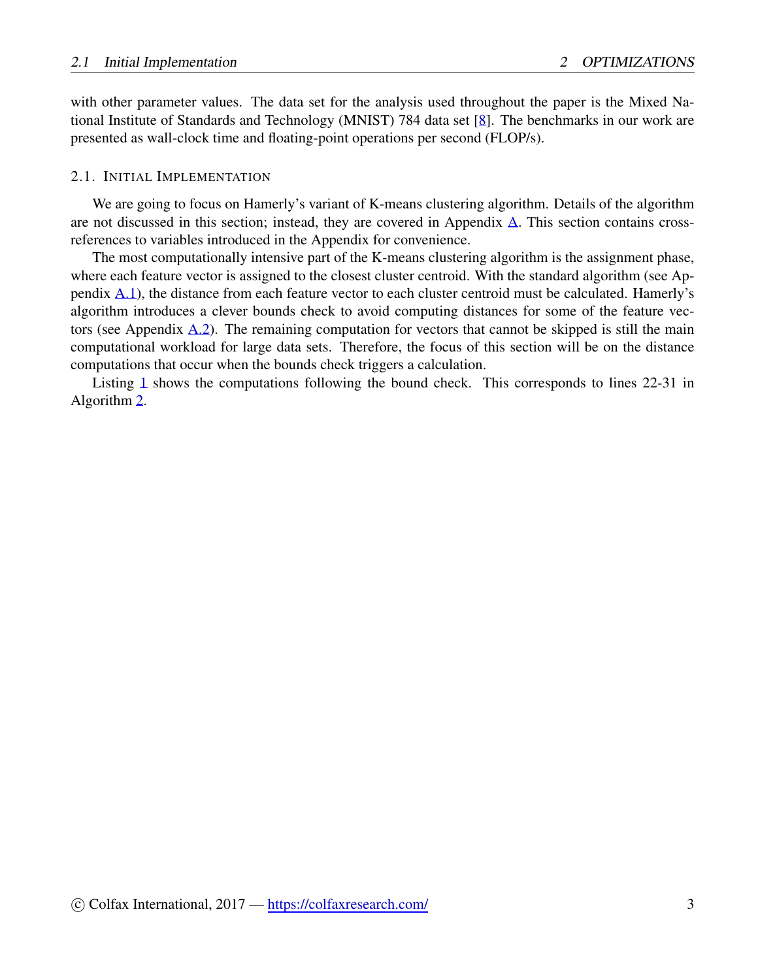with other parameter values. The data set for the analysis used throughout the paper is the Mixed National Institute of Standards and Technology (MNIST) 784 data set [[8\]](#page-20-6). The benchmarks in our work are presented as wall-clock time and floating-point operations per second (FLOP/s).

#### <span id="page-2-0"></span>2.1. INITIAL IMPLEMENTATION

We are going to focus on Hamerly's variant of K-means clustering algorithm. Details of the algorithm are not discussed in this section; instead, they are covered in Appendix [A.](#page-21-0) This section contains crossreferences to variables introduced in the Appendix for convenience.

The most computationally intensive part of the K-means clustering algorithm is the assignment phase, where each feature vector is assigned to the closest cluster centroid. With the standard algorithm (see Appendix [A.1](#page-21-1)), the distance from each feature vector to each cluster centroid must be calculated. Hamerly's algorithm introduces a clever bounds check to avoid computing distances for some of the feature vectors (see Appendix [A.2](#page-23-0)). The remaining computation for vectors that cannot be skipped is still the main computational workload for large data sets. Therefore, the focus of this section will be on the distance computations that occur when the bounds check triggers a calculation.

Listing [1](#page-3-0) shows the computations following the bound check. This corresponds to lines 22-31 in Algorithm [2.](#page-24-0)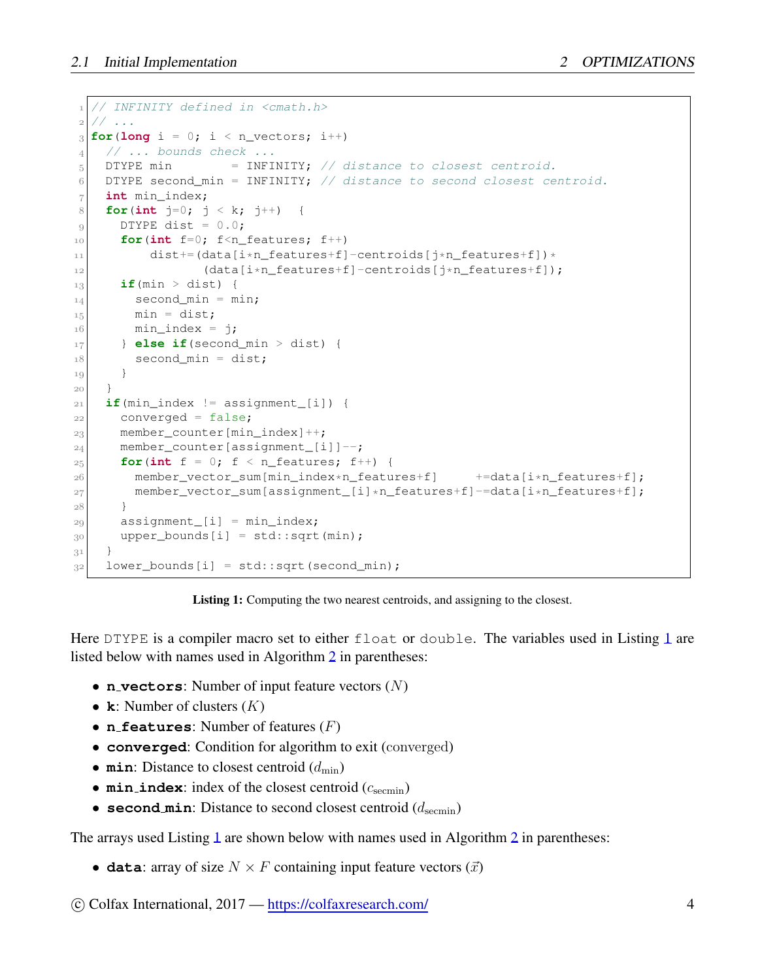```
1 // INFINITY defined in <cmath.h>
  2 // ...
3 for(long i = 0; i < n_vectors; i++)
4 // ... bounds check ...
5 DTYPE min = INFINITY; // distance to closest centroid.
6 DTYPE second_min = INFINITY; // distance to second closest centroid.
7 int min_index;
8 for(int j=0; j < k; j++) {
9 DTYPE dist = 0.0;
10 for(int f=0; f<n_features; f++)
11 dist += (data[i*n_features+f]-centroids[j*n_features+f]) *
12 (data[i*n_features+f]-centroids[j*n_features+f]);
13 if(min > dist) {
|14| second_min = min;
n_{15} min = dist;
16 min_index = j;
17 } else if(second_min > dist) {
18 second_min = dist;
19 }
20 }
21 if(min_index != assignment_[i]) {
22 converged = false;
23 member_counter[min_index]++;
24 member_counter[assignment_[i]]--;
25 for(int f = 0; f < n_features; f++) {
26 member_vector_sum[min_index*n_features+f] +=data[i*n_features+f];
27 member_vector_sum[assignment_[i]*n_features+f]-=data[i*n_features+f];
28 }
29 assignment_[i] = min_index;
30 upper_bounds[i] = std::sqrt(min);
31 }
32 lower_bounds[i] = std::sqrt(second_min);
```
Listing 1: Computing the two nearest centroids, and assigning to the closest.

Here DTYPE is a compiler macro set to either float or double. The variables used in Listing [1](#page-3-0) are listed below with names used in Algorithm [2](#page-24-0) in parentheses:

- *•* **n vectors**: Number of input feature vectors (*N*)
- *•* **k**: Number of clusters (*K*)
- *•* **n features**: Number of features (*F*)
- *•* **converged**: Condition for algorithm to exit (converged)
- **min**: Distance to closest centroid  $(d_{\min})$
- $min\_index$ : index of the closest centroid ( $c_{\text{seemin}}$ )
- **second min**: Distance to second closest centroid  $(d_{\text{seemin}})$

The arrays used Listing [1](#page-3-0) are shown below with names used in Algorithm [2](#page-24-0) in parentheses:

• **data**: array of size  $N \times F$  containing input feature vectors  $(\vec{x})$ 

*⃝*c Colfax International, 2017 — <https://colfaxresearch.com/> 4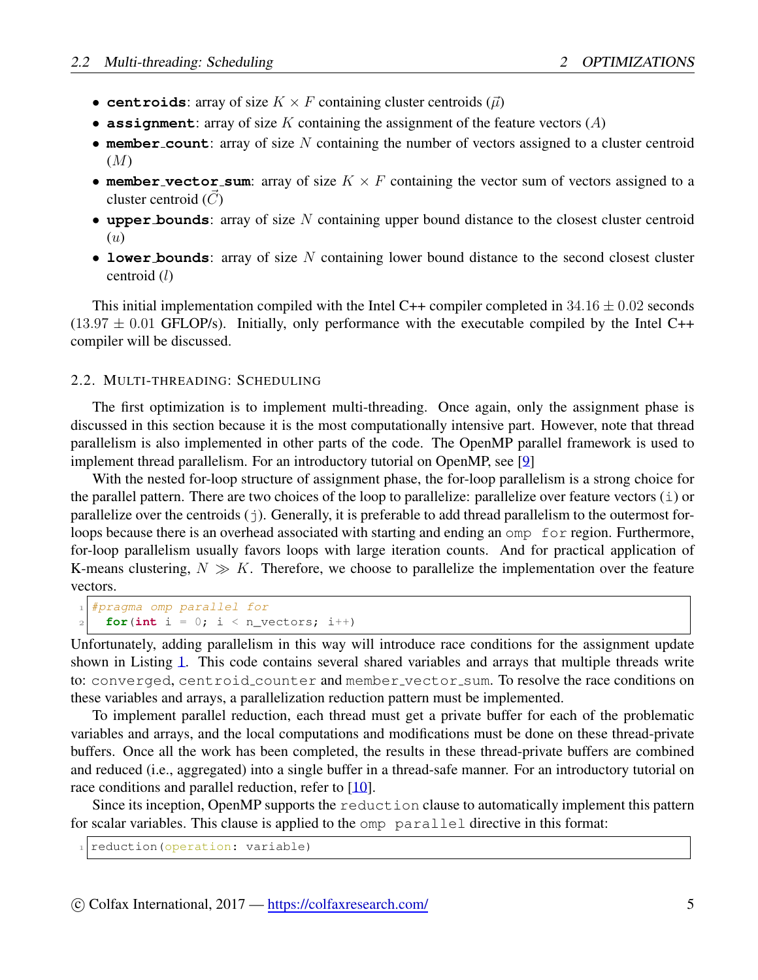- **centroids**: array of size  $K \times F$  containing cluster centroids  $(\vec{\mu})$
- *•* **assignment**: array of size *K* containing the assignment of the feature vectors (*A*)
- **member\_count**: array of size N containing the number of vectors assigned to a cluster centroid (*M*)
- **member\_vector\_sum**: array of size  $K \times F$  containing the vector sum of vectors assigned to a cluster centroid (*C*)
- *•* **upper bounds**: array of size *N* containing upper bound distance to the closest cluster centroid (*u*)
- *•* **lower bounds**: array of size *N* containing lower bound distance to the second closest cluster centroid (*l*)

This initial implementation compiled with the Intel C++ compiler completed in 34*.*16 *±* 0*.*02 seconds  $(13.97 \pm 0.01$  GFLOP/s). Initially, only performance with the executable compiled by the Intel C++ compiler will be discussed.

#### <span id="page-4-0"></span>2.2. MULTI-THREADING: SCHEDULING

The first optimization is to implement multi-threading. Once again, only the assignment phase is discussed in this section because it is the most computationally intensive part. However, note that thread parallelism is also implemented in other parts of the code. The OpenMP parallel framework is used to implement thread parallelism. For an introductory tutorial on OpenMP, see [\[9](#page-20-7)]

With the nested for-loop structure of assignment phase, the for-loop parallelism is a strong choice for the parallel pattern. There are two choices of the loop to parallelize: parallelize over feature vectors (i) or parallelize over the centroids  $(j)$ . Generally, it is preferable to add thread parallelism to the outermost forloops because there is an overhead associated with starting and ending an omp for region. Furthermore, for-loop parallelism usually favors loops with large iteration counts. And for practical application of K-means clustering, *N ≫ K*. Therefore, we choose to parallelize the implementation over the feature vectors.

```
1 #pragma omp parallel for
 for(int i = 0; i < n_vectors; i++)
```
Unfortunately, adding parallelism in this way will introduce race conditions for the assignment update shown in Listing [1.](#page-3-0) This code contains several shared variables and arrays that multiple threads write to: converged, centroid counter and member vector sum. To resolve the race conditions on these variables and arrays, a parallelization reduction pattern must be implemented.

To implement parallel reduction, each thread must get a private buffer for each of the problematic variables and arrays, and the local computations and modifications must be done on these thread-private buffers. Once all the work has been completed, the results in these thread-private buffers are combined and reduced (i.e., aggregated) into a single buffer in a thread-safe manner. For an introductory tutorial on race conditions and parallel reduction, refer to [[10\]](#page-20-8).

Since its inception, OpenMP supports the reduction clause to automatically implement this pattern for scalar variables. This clause is applied to the omp parallel directive in this format:

*1* reduction(operation: variable)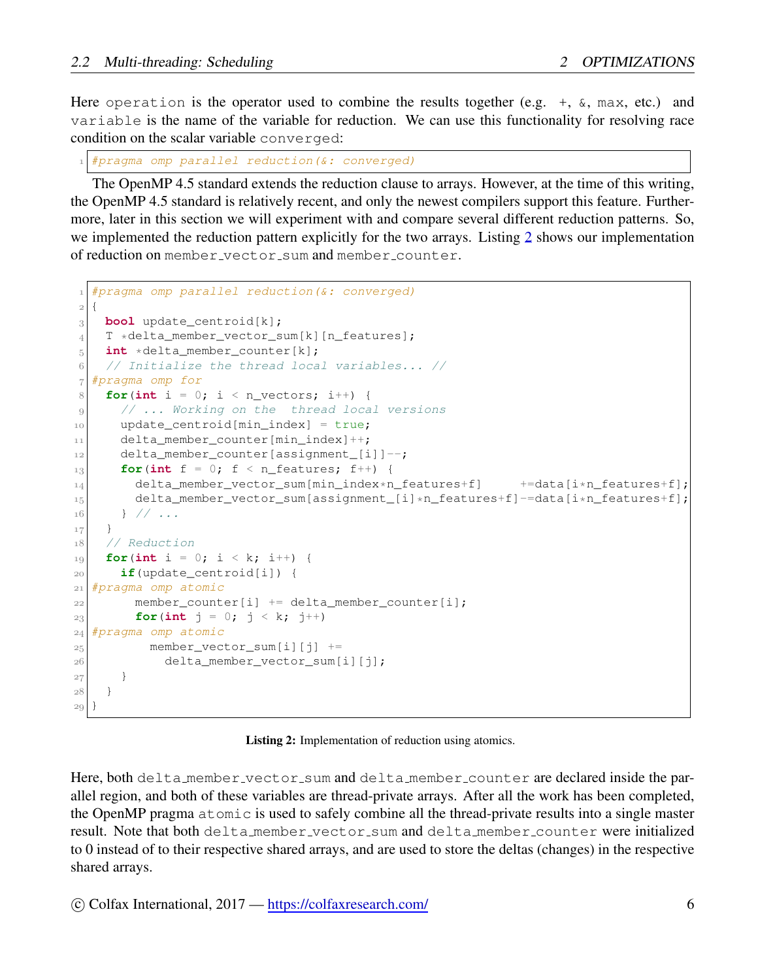Here operation is the operator used to combine the results together (e.g.  $+$ ,  $\&$ , max, etc.) and variable is the name of the variable for reduction. We can use this functionality for resolving race condition on the scalar variable converged:

*1 #pragma omp parallel reduction(&: converged)*

The OpenMP 4.5 standard extends the reduction clause to arrays. However, at the time of this writing, the OpenMP 4.5 standard is relatively recent, and only the newest compilers support this feature. Furthermore, later in this section we will experiment with and compare several different reduction patterns. So, we implemented the reduction pattern explicitly for the two arrays. Listing [2](#page-5-0) shows our implementation of reduction on member vector sum and member counter.

```
1 #pragma omp parallel reduction(&: converged)
2 {
3 bool update_centroid[k];
4 T *delta_member_vector_sum[k][n_features];
5 int *delta_member_counter[k];
6 // Initialize the thread local variables... //
7 #pragma omp for
8 for(int i = 0; i < n_vectors; i++) {
9 // ... Working on the thread local versions
10 update_centroid[min_index] = true;
11 delta_member_counter[min_index]++;
12 delta_member_counter[assignment_[i]]--;
f_{13} for(int f = 0; f < n features; f_{1} {
14 delta_member_vector_sum[min_index*n_features+f] +=data[i*n_features+f];
15 delta_member_vector_sum[assignment_[i]*n_features+f]-=data[i*n_features+f];
16 } // ...
17 }
18 // Reduction
19 for(int i = 0; i < k; i++) {
20 if(update_centroid[i]) {
21 #pragma omp atomic
22 member_counter[i] += delta_member_counter[i];
23 for(int j = 0; j < k; j^{++})
24 #pragma omp atomic
25 member_vector_sum[i][j] +=
26 delta_member_vector_sum[i][j];
27 }
28 }
29 }
```
Listing 2: Implementation of reduction using atomics.

Here, both delta member vector sum and delta member counter are declared inside the parallel region, and both of these variables are thread-private arrays. After all the work has been completed, the OpenMP pragma atomic is used to safely combine all the thread-private results into a single master result. Note that both delta\_member\_vector\_sum and delta\_member\_counter were initialized to 0 instead of to their respective shared arrays, and are used to store the deltas (changes) in the respective shared arrays.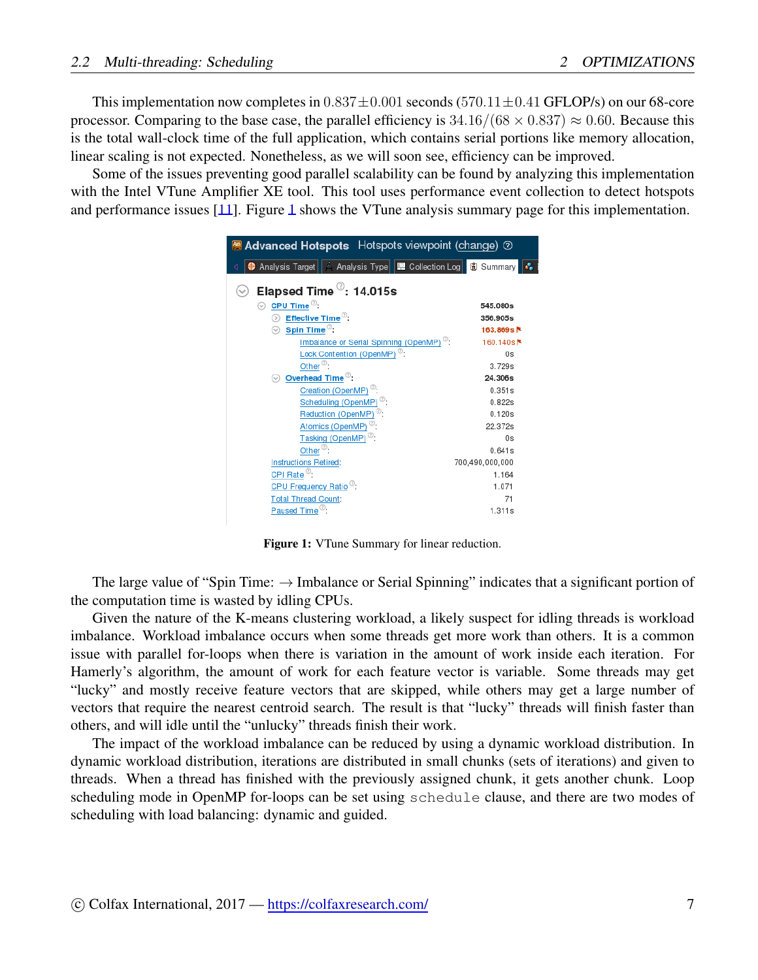This implementation now completes in 0*.*837*±*0*.*001 seconds (570*.*11*±*0*.*41 GFLOP/s) on our 68-core processor. Comparing to the base case, the parallel efficiency is  $34.16/(68 \times 0.837) \approx 0.60$ . Because this is the total wall-clock time of the full application, which contains serial portions like memory allocation, linear scaling is not expected. Nonetheless, as we will soon see, efficiency can be improved.

<span id="page-6-0"></span>Some of the issues preventing good parallel scalability can be found by analyzing this implementation with the Intel VTune Amplifier XE tool. This tool uses performance event collection to detect hotspots and performance issues [\[11](#page-20-9)]. Figure [1](#page-6-0) shows the VTune analysis summary page for this implementation.

| <b>Advanced Hotspots</b> Hotspots viewpoint (change) <b>@</b> |                       |  |
|---------------------------------------------------------------|-----------------------|--|
|                                                               |                       |  |
| Elapsed Time <sup>7</sup> : 14.015s                           |                       |  |
| $\odot~$ CPU Time $^\oslash$ :                                | 545.080s              |  |
| Effective Time <sup>7</sup> :                                 | 356.905s              |  |
| Spin Time <sup>7</sup><br>⊙                                   | 163.869s <sup>k</sup> |  |
| Imbalance or Serial Spinning (OpenMP) <sup>(0)</sup> :        | 160.140s <sup>k</sup> |  |
| Lock Contention (OpenMP) <sup><sup>2</sup>:</sup>             | 0s                    |  |
| Other <sup>®</sup> :                                          | 3.729s                |  |
| Overhead Time <sup>7</sup> :                                  | 24.306s               |  |
| Creation (OpenMP) <sup>(2)</sup> :                            | 0.351s                |  |
| Scheduling (OpenMP) <sup>2</sup> :                            | 0.822s                |  |
| Reduction (OpenMP) <sup>(2)</sup> :                           | 0.120s                |  |
| Atomics (OpenMP) <sup>©</sup> :                               | 22.372s               |  |
| Tasking (OpenMP) <sup>(2)</sup> :                             | 0s                    |  |
| Other $^{\circledcirc}$ :                                     | 0.641s                |  |
| <b>Instructions Retired:</b>                                  | 700,490,000,000       |  |
| CPI Rate <sup>7</sup> :                                       | 1.164                 |  |
| CPU Frequency Ratio <sup>(2)</sup> :                          | 1.071                 |  |
| <b>Total Thread Count:</b>                                    | 71                    |  |
| Paused Time $^\circledR$ :                                    | 1.311s                |  |

Figure 1: VTune Summary for linear reduction.

The large value of "Spin Time: *→* Imbalance or Serial Spinning" indicates that a significant portion of the computation time is wasted by idling CPUs.

Given the nature of the K-means clustering workload, a likely suspect for idling threads is workload imbalance. Workload imbalance occurs when some threads get more work than others. It is a common issue with parallel for-loops when there is variation in the amount of work inside each iteration. For Hamerly's algorithm, the amount of work for each feature vector is variable. Some threads may get "lucky" and mostly receive feature vectors that are skipped, while others may get a large number of vectors that require the nearest centroid search. The result is that "lucky" threads will finish faster than others, and will idle until the "unlucky" threads finish their work.

The impact of the workload imbalance can be reduced by using a dynamic workload distribution. In dynamic workload distribution, iterations are distributed in small chunks (sets of iterations) and given to threads. When a thread has finished with the previously assigned chunk, it gets another chunk. Loop scheduling mode in OpenMP for-loops can be set using schedule clause, and there are two modes of scheduling with load balancing: dynamic and guided.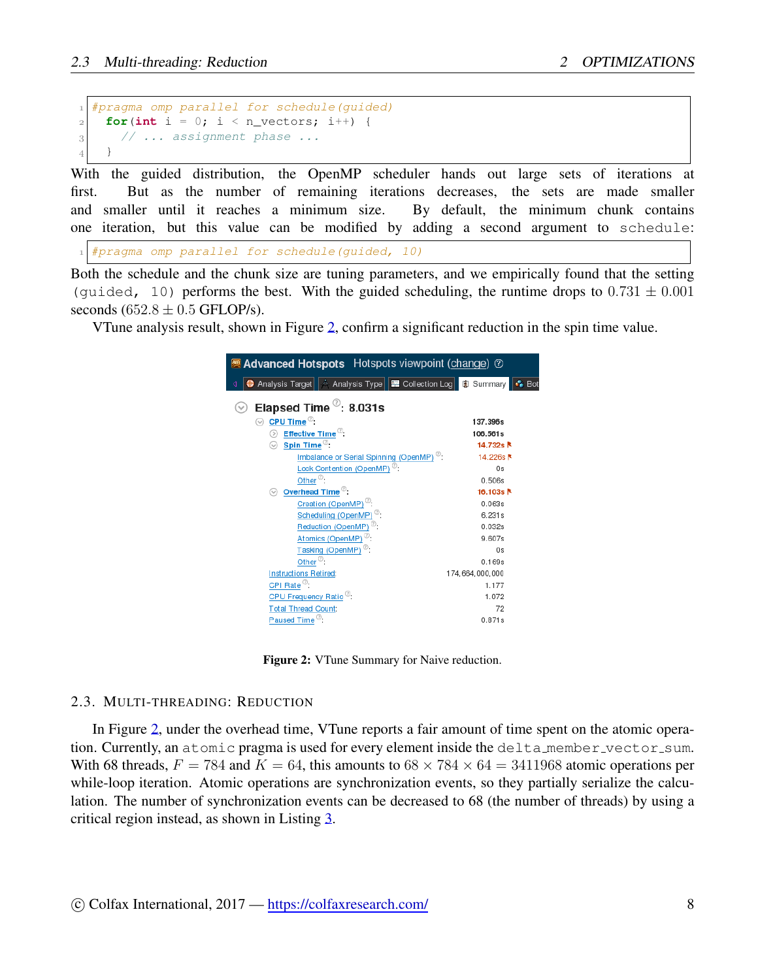```
1 #pragma omp parallel for schedule(guided)
    for(\textbf{int} i = 0; i < n_vectors; i++) {
3 // ... assignment phase ...
4 }
```
With the guided distribution, the OpenMP scheduler hands out large sets of iterations at first. But as the number of remaining iterations decreases, the sets are made smaller and smaller until it reaches a minimum size. By default, the minimum chunk contains one iteration, but this value can be modified by adding a second argument to schedule:

*1 #pragma omp parallel for schedule(guided, 10)*

Both the schedule and the chunk size are tuning parameters, and we empirically found that the setting (quided, 10) performs the best. With the guided scheduling, the runtime drops to  $0.731 \pm 0.001$ seconds  $(652.8 \pm 0.5$  GFLOP/s).

<span id="page-7-1"></span>VTune analysis result, shown in Figure [2,](#page-7-1) confirm a significant reduction in the spin time value.

| <b>Advanced Hotspots</b> Hotspots viewpoint (change) @                         |                 |
|--------------------------------------------------------------------------------|-----------------|
| Analysis Target   A Analysis Type     E Collection Log     1 Summary<br>∢<br>⊕ | I⊷ Bo           |
| Elapsed Time $^\heartsuit$ : 8.031s                                            |                 |
| $\odot~$ CPU Time $^\oslash$ :                                                 | 137.396s        |
| $\circledcirc$ Effective Time $\circledcirc$ :                                 | 106.561s        |
| <b>Spin Time<sup>®</sup>:</b>                                                  | 14.732s         |
| Imbalance or Serial Spinning (OpenMP) <sup>(0)</sup> :                         | 14.226s         |
| Lock Contention (OpenMP) <sup>®</sup> :                                        | 0s              |
| Other <sup><math>\circledcirc</math></sup> :                                   | 0.506s          |
| Overhead Time <sup>®</sup> :<br>∾                                              | 16.103s         |
| Creation (OpenMP) <sup>(2)</sup> :                                             | 0.063s          |
| Scheduling (OpenMP) <sup>(2)</sup> :                                           | 6.231s          |
| Reduction (OpenMP) <sup>(2)</sup> :                                            | 0.032s          |
| Atomics (OpenMP) <sup>7</sup> :                                                | 9.607s          |
| Tasking (OpenMP) <sup>2</sup> :                                                | 0s              |
| Other $^{\circledcirc}$ :                                                      | 0.169s          |
| <b>Instructions Retired:</b>                                                   | 174,664,000,000 |
| CPI Rate $^{\circledR}$ :                                                      | 1.177           |
| CPU Frequency Ratio <sup>(2)</sup> :                                           | 1.072           |
| <b>Total Thread Count:</b>                                                     | 72              |
| Paused Time <sup>®</sup> :                                                     | 0.871s          |
|                                                                                |                 |

Figure 2: VTune Summary for Naive reduction.

#### <span id="page-7-0"></span>2.3. MULTI-THREADING: REDUCTION

In Figure [2](#page-7-1), under the overhead time, VTune reports a fair amount of time spent on the atomic operation. Currently, an atomic pragma is used for every element inside the delta member vector sum. With 68 threads,  $F = 784$  and  $K = 64$ , this amounts to  $68 \times 784 \times 64 = 3411968$  atomic operations per while-loop iteration. Atomic operations are synchronization events, so they partially serialize the calculation. The number of synchronization events can be decreased to 68 (the number of threads) by using a critical region instead, as shown in Listing [3](#page-8-0).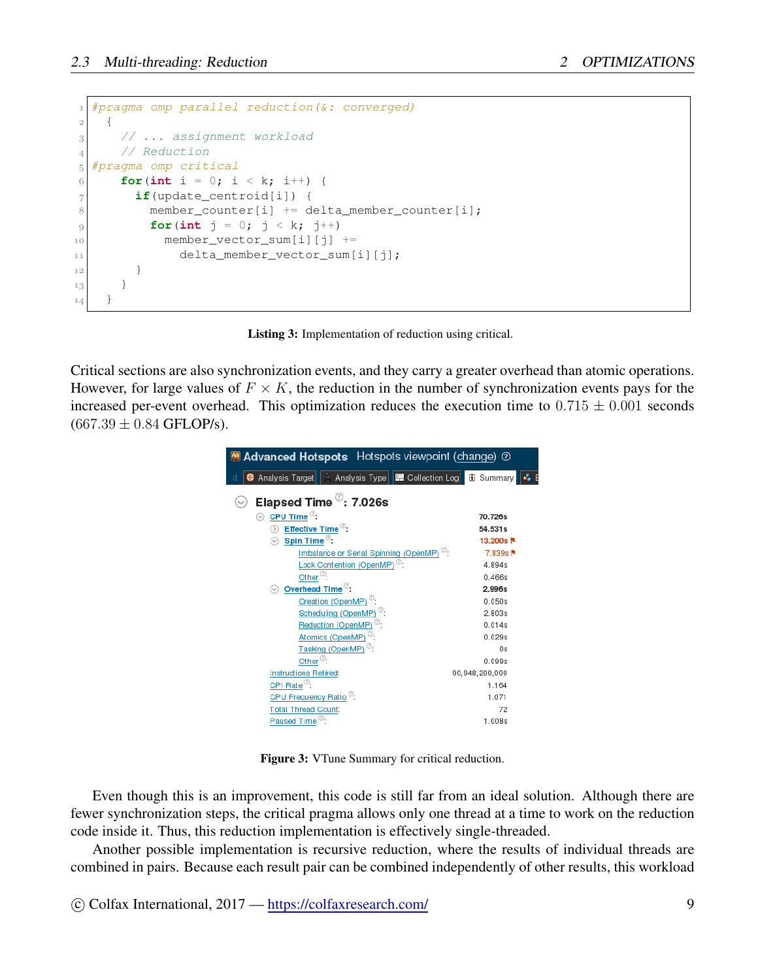```
1 #pragma omp parallel reduction(&: converged)
2 {
3 // ... assignment workload
4 // Reduction
5 #pragma omp critical
6 for(int i = 0; i < k; i++) {
7 if(update_centroid[i]) {
8 member_counter[i] += delta_member_counter[i];
9 for(int j = 0; j < k; j++)
10 member_vector_sum[i][j] +=
11 delta_member_vector_sum[i][j];
12 }
13 }
14 }
```
Listing 3: Implementation of reduction using critical.

Critical sections are also synchronization events, and they carry a greater overhead than atomic operations. However, for large values of  $F \times K$ , the reduction in the number of synchronization events pays for the increased per-event overhead. This optimization reduces the execution time to  $0.715 \pm 0.001$  seconds  $(667.39 \pm 0.84 \text{ GFLOP/s}).$ 

| <b>Advanced Hotspots</b> Hotspots viewpoint (change) 2               |                |  |  |
|----------------------------------------------------------------------|----------------|--|--|
| ∢                                                                    | l Col          |  |  |
| Elapsed Time $\mathcal{O}: 7.026$ s                                  |                |  |  |
| $\odot$ CPU Time $^{\oslash}$ :                                      | 70.726s        |  |  |
| $\circledcirc$ Effective Time <sup><math>\circledcirc</math></sup> : | 54.531s        |  |  |
| $\odot~$ Spin Time $^\odot$ :                                        | 13.200s        |  |  |
| Imbalance or Serial Spinning (OpenMP) <sup>(2)</sup> :               | 7.839s         |  |  |
| Lock Contention (OpenMP) <sup>(2)</sup> :                            | 4.894s         |  |  |
| Other <sup><math>\infty</math></sup> :                               | 0.466s         |  |  |
| Overhead Time <sup>7</sup> :<br>$(\mathrel{\smile}$                  | 2.996s         |  |  |
| Creation (OpenMP) <sup>(2)</sup> :                                   | 0.050s         |  |  |
| Scheduling (OpenMP) <sup>2</sup> :                                   | 2.803s         |  |  |
| Reduction (OpenMP) $^{\circledcirc}$ :                               | 0.014s         |  |  |
| Atomics (OpenMP) <sup>7</sup> :                                      | 0.029s         |  |  |
| Tasking (OpenMP) <sup>(2)</sup> :                                    | 0s             |  |  |
| Other $^{\circledR}$ :                                               | 0.099s         |  |  |
| <b>Instructions Retired:</b>                                         | 90,948,200,000 |  |  |
| CPI Rate <sup>7</sup> :                                              | 1.164          |  |  |
| CPU Frequency Ratio <sup>(2)</sup> :                                 | 1.071          |  |  |
| <b>Total Thread Count:</b>                                           | 72             |  |  |
| Paused Time <sup>®</sup> :                                           | 1.008s         |  |  |

Figure 3: VTune Summary for critical reduction.

Even though this is an improvement, this code is still far from an ideal solution. Although there are fewer synchronization steps, the critical pragma allows only one thread at a time to work on the reduction code inside it. Thus, this reduction implementation is effectively single-threaded.

Another possible implementation is recursive reduction, where the results of individual threads are combined in pairs. Because each result pair can be combined independently of other results, this workload

 $\circ$  Colfax International, 2017 — <https://colfaxresearch.com/> 9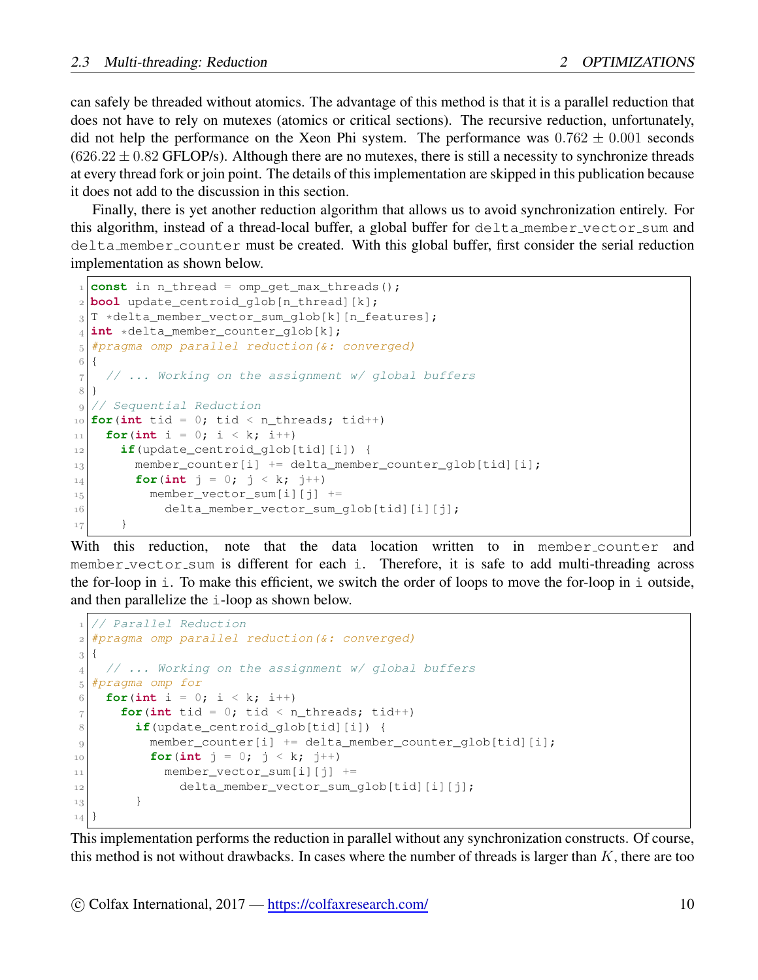can safely be threaded without atomics. The advantage of this method is that it is a parallel reduction that does not have to rely on mutexes (atomics or critical sections). The recursive reduction, unfortunately, did not help the performance on the Xeon Phi system. The performance was 0*.*762 *±* 0*.*001 seconds  $(626.22 \pm 0.82$  GFLOP/s). Although there are no mutexes, there is still a necessity to synchronize threads at every thread fork or join point. The details of this implementation are skipped in this publication because it does not add to the discussion in this section.

Finally, there is yet another reduction algorithm that allows us to avoid synchronization entirely. For this algorithm, instead of a thread-local buffer, a global buffer for delta member vector sum and delta member counter must be created. With this global buffer, first consider the serial reduction implementation as shown below.

```
1 const in n_thread = omp_get_max_threads();
2 bool update_centroid_glob[n_thread][k];
3 T *delta_member_vector_sum_glob[k][n_features];
4 int *delta_member_counter_glob[k];
5 #pragma omp parallel reduction(&: converged)
6 {
7 // ... Working on the assignment w/ global buffers
8 }
9 // Sequential Reduction
10 \text{ for (int tid = 0; tid < n_threads; tid++)}11 for (int i = 0; i < k; i++)
12 if(update_centroid_glob[tid][i]) {
13 member_counter[i] += delta_member_counter_glob[tid][i];
14 for(int j = 0; j < k; j++)15 member_vector_sum[i][j] +=
16 delta_member_vector_sum_qlob[tid][i][j];
17 }
```
With this reduction, note that the data location written to in member counter and member vector sum is different for each i. Therefore, it is safe to add multi-threading across the for-loop in  $\pm$ . To make this efficient, we switch the order of loops to move the for-loop in  $\pm$  outside, and then parallelize the i-loop as shown below.

```
1 // Parallel Reduction
2 #pragma omp parallel reduction(&: converged)
3 {
4 // ... Working on the assignment w/ global buffers
5 #pragma omp for
6 for(int i = 0; i < k; i++)
7 for(int tid = 0; tid < n_threads; tid++)
8 if(update_centroid_glob[tid][i]) {
9 member_counter[i] += delta_member_counter_glob[tid][i];
10 for(int j = 0; j < k; j++)
11 member_vector_sum[i][j] +=
12 delta_member_vector_sum_qlob[tid][i][j];
13 }
14 }
```
This implementation performs the reduction in parallel without any synchronization constructs. Of course, this method is not without drawbacks. In cases where the number of threads is larger than *K*, there are too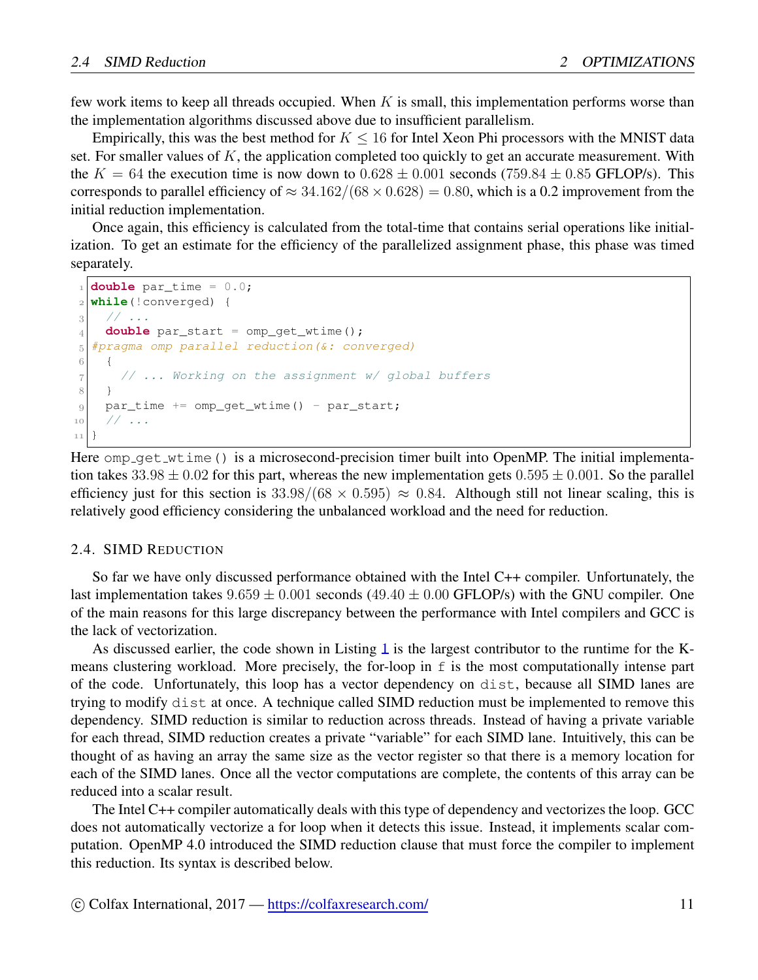few work items to keep all threads occupied. When *K* is small, this implementation performs worse than the implementation algorithms discussed above due to insufficient parallelism.

Empirically, this was the best method for *K ≤* 16 for Intel Xeon Phi processors with the MNIST data set. For smaller values of *K*, the application completed too quickly to get an accurate measurement. With the  $K = 64$  the execution time is now down to  $0.628 \pm 0.001$  seconds (759*.84*  $\pm$  0.85 GFLOP/s). This corresponds to parallel efficiency of  $\approx$  34.162/(68  $\times$  0.628) = 0.80, which is a 0.2 improvement from the initial reduction implementation.

Once again, this efficiency is calculated from the total-time that contains serial operations like initialization. To get an estimate for the efficiency of the parallelized assignment phase, this phase was timed separately.

```
1 double par_time = 0.0;
2 while(!converged) {
3 // ...
4 double par_start = omp\_get\_wtime();
5 #pragma omp parallel reduction(&: converged)
6 {
7 // ... Working on the assignment w/ global buffers
8 }
9 par_time += omp_get_wtime() - par_start;
10 // ...
11 }
```
Here  $omp_qet_wtime()$  is a microsecond-precision timer built into OpenMP. The initial implementation takes  $33.98 \pm 0.02$  for this part, whereas the new implementation gets  $0.595 \pm 0.001$ . So the parallel efficiency just for this section is  $33.98/(68 \times 0.595) \approx 0.84$ . Although still not linear scaling, this is relatively good efficiency considering the unbalanced workload and the need for reduction.

#### <span id="page-10-0"></span>2.4. SIMD REDUCTION

So far we have only discussed performance obtained with the Intel C++ compiler. Unfortunately, the last implementation takes  $9.659 \pm 0.001$  seconds ( $49.40 \pm 0.00$  GFLOP/s) with the GNU compiler. One of the main reasons for this large discrepancy between the performance with Intel compilers and GCC is the lack of vectorization.

As discussed earlier, the code shown in Listing [1](#page-3-0) is the largest contributor to the runtime for the Kmeans clustering workload. More precisely, the for-loop in  $f$  is the most computationally intense part of the code. Unfortunately, this loop has a vector dependency on dist, because all SIMD lanes are trying to modify dist at once. A technique called SIMD reduction must be implemented to remove this dependency. SIMD reduction is similar to reduction across threads. Instead of having a private variable for each thread, SIMD reduction creates a private "variable" for each SIMD lane. Intuitively, this can be thought of as having an array the same size as the vector register so that there is a memory location for each of the SIMD lanes. Once all the vector computations are complete, the contents of this array can be reduced into a scalar result.

The Intel C++ compiler automatically deals with this type of dependency and vectorizes the loop. GCC does not automatically vectorize a for loop when it detects this issue. Instead, it implements scalar computation. OpenMP 4.0 introduced the SIMD reduction clause that must force the compiler to implement this reduction. Its syntax is described below.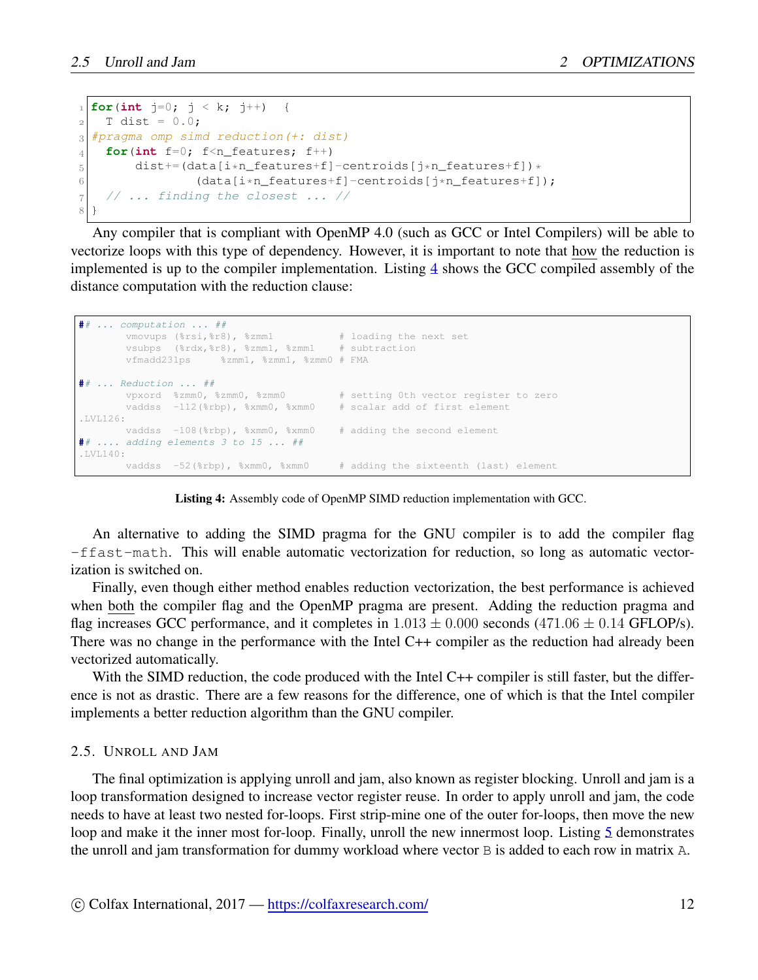```
1 for(int j=0; j < k; j++) {
2 T dist = 0.0;
3 #pragma omp simd reduction(+: dist)
4 for(int f=0; f<n features; f++)
5 dist+=(data[i*n_features+f]-centroids[j*n_features+f]) *
6 (data[i*n_features+f]-centroids[j*n_features+f]);
7 // ... finding the closest ... //
8 }
```
Any compiler that is compliant with OpenMP 4.0 (such as GCC or Intel Compilers) will be able to vectorize loops with this type of dependency. However, it is important to note that how the reduction is implemented is up to the compiler implementation. Listing [4](#page-11-1) shows the GCC compiled assembly of the distance computation with the reduction clause:

```
## ... computation ... ##
      vmovups (%rsi,%r8), %zmm1 # loading the next set
      vsubps (%rdx,%r8), %zmm1, %zmm1 # subtraction
      vfmadd231ps %zmm1, %zmm1, %zmm0 # FMA
## ... Reduction ... ##
      vpxord %zmm0, %zmm0, %zmm0 # setting 0th vector register to zero
      vaddss -112(%rbp), %xmm0, %xmm0 # scalar add of first element
.1V1126:vaddss -108(%rbp), %xmm0, %xmm0 # adding the second element
## .... adding elements 3 to 15 ... ##
.LVL140:
      vaddss -52(%rbp), %xmm0, %xmm0 # adding the sixteenth (last) element
```


An alternative to adding the SIMD pragma for the GNU compiler is to add the compiler flag -ffast-math. This will enable automatic vectorization for reduction, so long as automatic vectorization is switched on.

Finally, even though either method enables reduction vectorization, the best performance is achieved when both the compiler flag and the OpenMP pragma are present. Adding the reduction pragma and flag increases GCC performance, and it completes in  $1.013 \pm 0.000$  seconds (471.06  $\pm$  0.14 GFLOP/s). There was no change in the performance with the Intel C++ compiler as the reduction had already been vectorized automatically.

With the SIMD reduction, the code produced with the Intel C++ compiler is still faster, but the difference is not as drastic. There are a few reasons for the difference, one of which is that the Intel compiler implements a better reduction algorithm than the GNU compiler.

#### <span id="page-11-0"></span>2.5. UNROLL AND JAM

The final optimization is applying unroll and jam, also known as register blocking. Unroll and jam is a loop transformation designed to increase vector register reuse. In order to apply unroll and jam, the code needs to have at least two nested for-loops. First strip-mine one of the outer for-loops, then move the new loop and make it the inner most for-loop. Finally, unroll the new innermost loop. Listing [5](#page-12-0) demonstrates the unroll and jam transformation for dummy workload where vector B is added to each row in matrix A.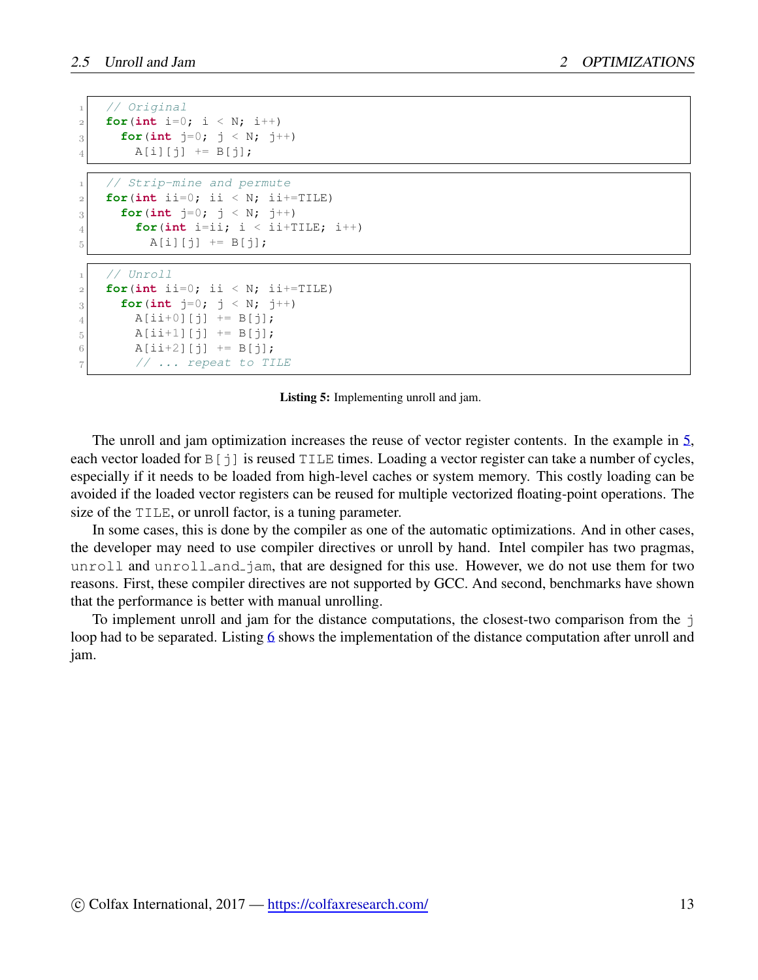```
1 // Original
2 for(int i=0; i < N; i++)
3 for(int j=0; j < N; j++)4 A[i][j] += B[j];
   1 // Strip-mine and permute
2 for(int ii=0; ii < N; ii+=TILE)
3 for(\text{int } j = 0; j < N; j++)\mathbf{f} for(int i=ii; i < ii+TILE; i++)
5 A[i][j] += B[j];
   1 // Unroll
2 for(int ii=0; ii < N; ii+=TILE)
3 for(int j=0; j < N; j++)
4 A[ii+0][j] += B[j];
5 A[ii+1][j] += B[j];
6 A[ii+2][j] += B[j];
       7 // ... repeat to TILE
```
Listing 5: Implementing unroll and jam.

The unroll and jam optimization increases the reuse of vector register contents. In the example in [5](#page-12-0), each vector loaded for  $B[j]$  is reused TILE times. Loading a vector register can take a number of cycles, especially if it needs to be loaded from high-level caches or system memory. This costly loading can be avoided if the loaded vector registers can be reused for multiple vectorized floating-point operations. The size of the TILE, or unroll factor, is a tuning parameter.

In some cases, this is done by the compiler as one of the automatic optimizations. And in other cases, the developer may need to use compiler directives or unroll by hand. Intel compiler has two pragmas, unroll and unroll and jam, that are designed for this use. However, we do not use them for two reasons. First, these compiler directives are not supported by GCC. And second, benchmarks have shown that the performance is better with manual unrolling.

To implement unroll and jam for the distance computations, the closest-two comparison from the  $\dot{\uparrow}$ loop had to be separated. Listing [6](#page-13-1) shows the implementation of the distance computation after unroll and jam.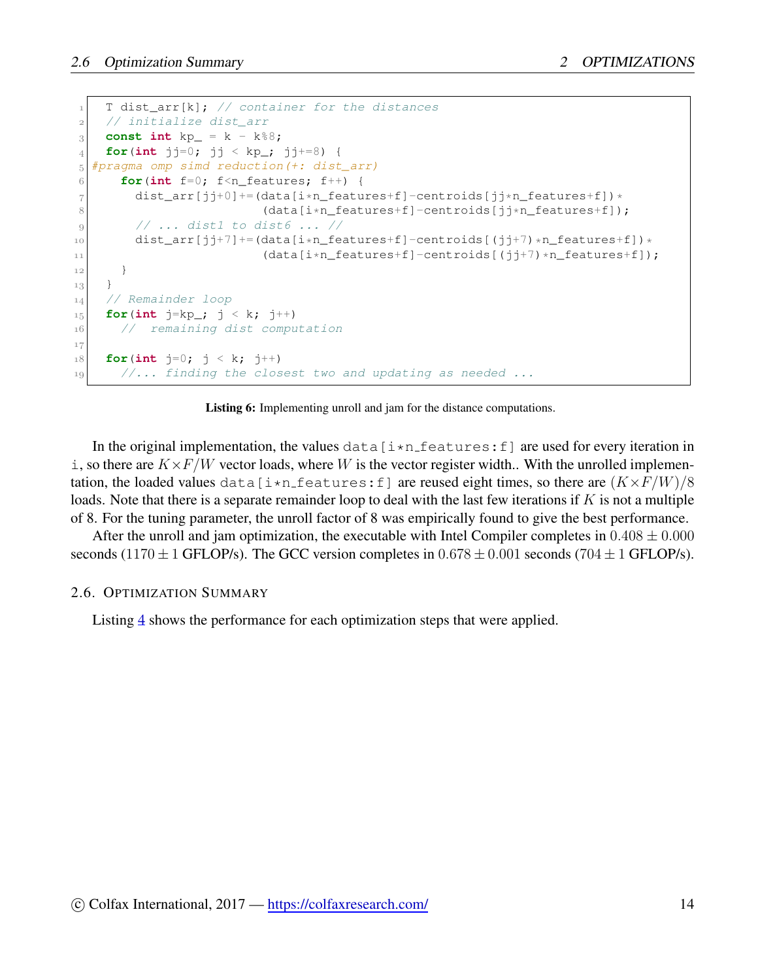```
1 T dist_arr[k]; // container for the distances
2 // initialize dist_arr
2 const int kp_ = k - k \frac{1}{2}_4 for(int jj=0; jj < kp<sub>_</sub>; jj+=8) {
5 #pragma omp simd reduction(+: dist_arr)
6 for(int f=0; f<n_features; f++) {
7 dist_arr[jj+0]+=(data[i*n_features+f]-centroids[jj*n_features+f])*
8 (data[i*n_features+f]-centroids[jj*n_features+f]);
9 // ... dist1 to dist6 ... //
10 dist_arr[jj+7]+=(data[i*n_features+f]-centroids[(jj+7)*n_features+f])*
11 (data[i*n_features+f]-centroids[(jj+7)*n_features+f]);
12 }
13 }
14 // Remainder loop
15 for(int j = kp; j < k; j++)16 // remaining dist computation
17
18 for(int j=0; j < k; j++)19 //... finding the closest two and updating as needed ...
```
Listing 6: Implementing unroll and jam for the distance computations.

In the original implementation, the values  $\text{data}[\text{i}*\text{n}$  features: f are used for every iteration in i, so there are  $K \times F/W$  vector loads, where W is the vector register width.. With the unrolled implementation, the loaded values data [i\*n\_features: f] are reused eight times, so there are  $(K \times F/W)/8$ loads. Note that there is a separate remainder loop to deal with the last few iterations if *K* is not a multiple of 8. For the tuning parameter, the unroll factor of 8 was empirically found to give the best performance.

After the unroll and jam optimization, the executable with Intel Compiler completes in  $0.408 \pm 0.000$ seconds (1170  $\pm$  1 GFLOP/s). The GCC version completes in 0.678  $\pm$  0.001 seconds (704  $\pm$  1 GFLOP/s).

#### <span id="page-13-0"></span>2.6. OPTIMIZATION SUMMARY

Listing [4](#page-14-0) shows the performance for each optimization steps that were applied.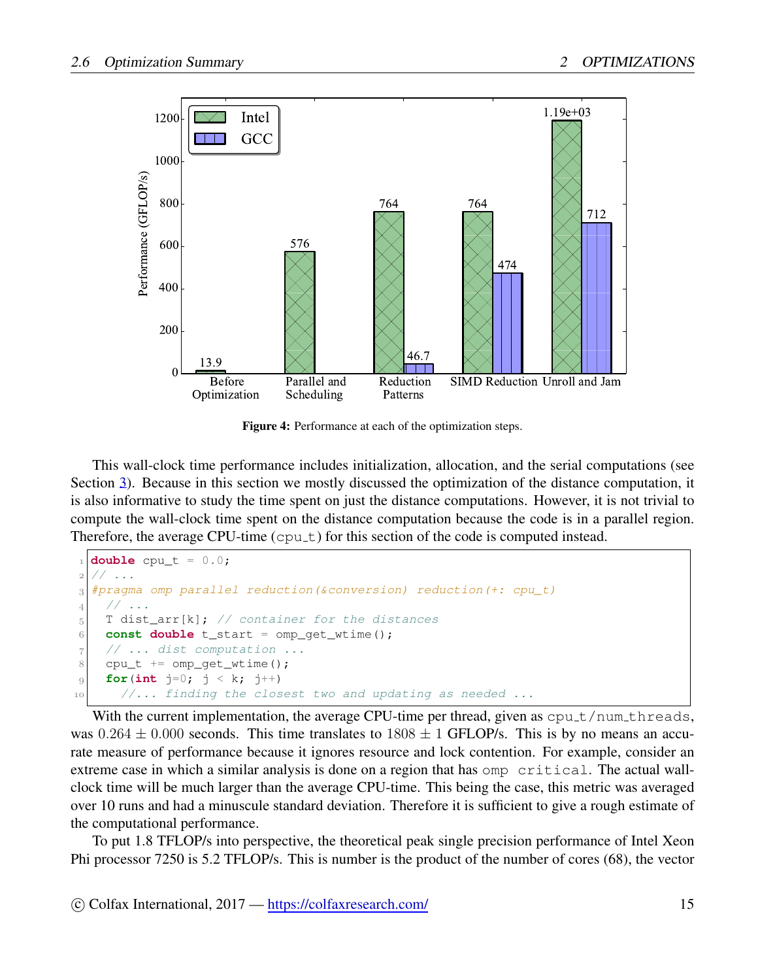<span id="page-14-0"></span>

Figure 4: Performance at each of the optimization steps.

This wall-clock time performance includes initialization, allocation, and the serial computations (see Section [3](#page-15-0)). Because in this section we mostly discussed the optimization of the distance computation, it is also informative to study the time spent on just the distance computations. However, it is not trivial to compute the wall-clock time spent on the distance computation because the code is in a parallel region. Therefore, the average CPU-time  $(cput)$  for this section of the code is computed instead.

```
double cpu t = 0.0;
     2 // ...
3 #pragma omp parallel reduction(&conversion) reduction(+: cpu_t)
    4 // ...
5 T dist_arr[k]; // container for the distances
6 const double t_start = omp\_get\_wtime();
7 // ... dist computation ...
8 cpu_t += omp_get_wtime();
9 for(int j=0; j < k; j++)
10 //... finding the closest two and updating as needed ...
```
With the current implementation, the average CPU-time per thread, given as  $\text{cpu}\text{-}t/\text{num}\text{-}t$  hreads, was  $0.264 \pm 0.000$  seconds. This time translates to  $1808 \pm 1$  GFLOP/s. This is by no means an accurate measure of performance because it ignores resource and lock contention. For example, consider an extreme case in which a similar analysis is done on a region that has omp critical. The actual wallclock time will be much larger than the average CPU-time. This being the case, this metric was averaged over 10 runs and had a minuscule standard deviation. Therefore it is sufficient to give a rough estimate of the computational performance.

To put 1.8 TFLOP/s into perspective, the theoretical peak single precision performance of Intel Xeon Phi processor 7250 is 5.2 TFLOP/s. This is number is the product of the number of cores (68), the vector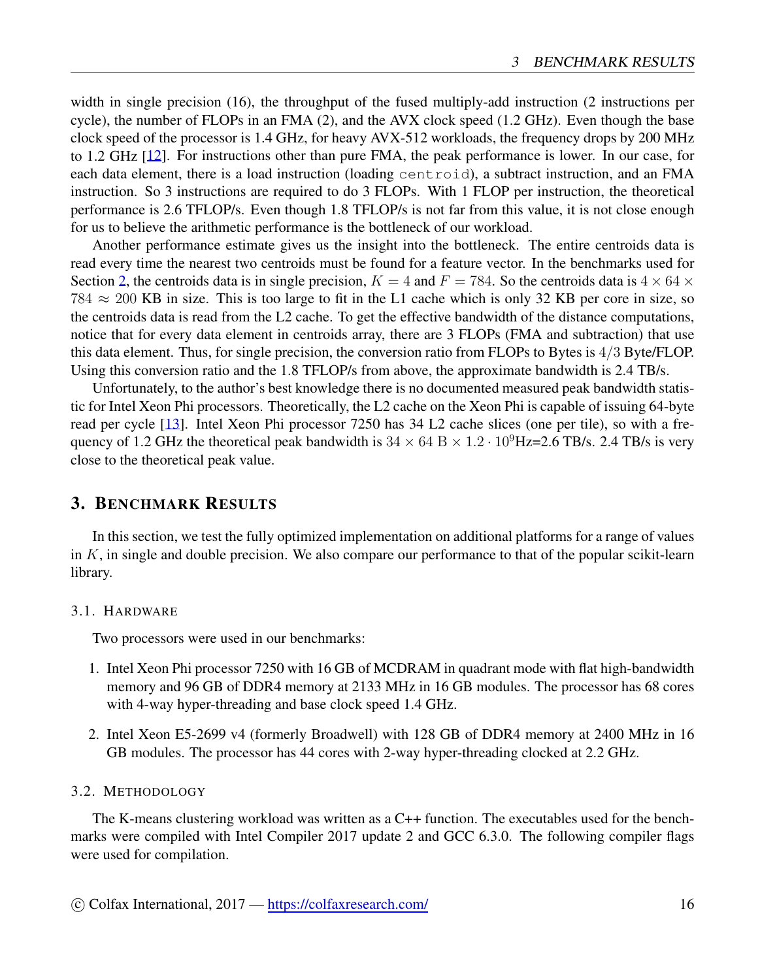width in single precision (16), the throughput of the fused multiply-add instruction (2 instructions per cycle), the number of FLOPs in an FMA (2), and the AVX clock speed (1.2 GHz). Even though the base clock speed of the processor is 1.4 GHz, for heavy AVX-512 workloads, the frequency drops by 200 MHz to 1.2 GHz [[12\]](#page-20-10). For instructions other than pure FMA, the peak performance is lower. In our case, for each data element, there is a load instruction (loading centroid), a subtract instruction, and an FMA instruction. So 3 instructions are required to do 3 FLOPs. With 1 FLOP per instruction, the theoretical performance is 2.6 TFLOP/s. Even though 1.8 TFLOP/s is not far from this value, it is not close enough for us to believe the arithmetic performance is the bottleneck of our workload.

Another performance estimate gives us the insight into the bottleneck. The entire centroids data is read every time the nearest two centroids must be found for a feature vector. In the benchmarks used for Section [2,](#page-1-1) the centroids data is in single precision,  $K = 4$  and  $F = 784$ . So the centroids data is  $4 \times 64 \times$ 784 *≈* 200 KB in size. This is too large to fit in the L1 cache which is only 32 KB per core in size, so the centroids data is read from the L2 cache. To get the effective bandwidth of the distance computations, notice that for every data element in centroids array, there are 3 FLOPs (FMA and subtraction) that use this data element. Thus, for single precision, the conversion ratio from FLOPs to Bytes is 4*/*3 Byte/FLOP. Using this conversion ratio and the 1.8 TFLOP/s from above, the approximate bandwidth is 2.4 TB/s.

Unfortunately, to the author's best knowledge there is no documented measured peak bandwidth statistic for Intel Xeon Phi processors. Theoretically, the L2 cache on the Xeon Phi is capable of issuing 64-byte read per cycle [\[13](#page-20-11)]. Intel Xeon Phi processor 7250 has 34 L2 cache slices (one per tile), so with a frequency of 1.2 GHz the theoretical peak bandwidth is  $34 \times 64$  B  $\times$  1.2 *·* 10<sup>9</sup>Hz=2.6 TB/s. 2.4 TB/s is very close to the theoretical peak value.

## <span id="page-15-0"></span>3. BENCHMARK RESULTS

In this section, we test the fully optimized implementation on additional platforms for a range of values in *K*, in single and double precision. We also compare our performance to that of the popular scikit-learn library.

#### <span id="page-15-1"></span>3.1. HARDWARE

Two processors were used in our benchmarks:

- 1. Intel Xeon Phi processor 7250 with 16 GB of MCDRAM in quadrant mode with flat high-bandwidth memory and 96 GB of DDR4 memory at 2133 MHz in 16 GB modules. The processor has 68 cores with 4-way hyper-threading and base clock speed 1.4 GHz.
- 2. Intel Xeon E5-2699 v4 (formerly Broadwell) with 128 GB of DDR4 memory at 2400 MHz in 16 GB modules. The processor has 44 cores with 2-way hyper-threading clocked at 2.2 GHz.

## <span id="page-15-2"></span>3.2. METHODOLOGY

The K-means clustering workload was written as a C++ function. The executables used for the benchmarks were compiled with Intel Compiler 2017 update 2 and GCC 6.3.0. The following compiler flags were used for compilation.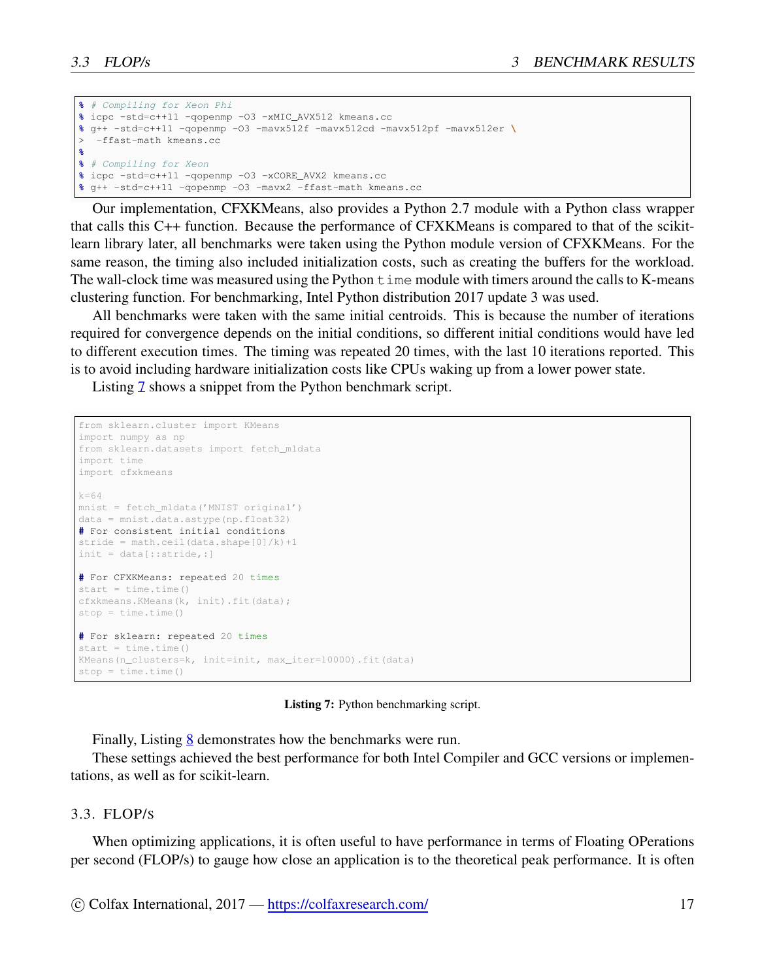```
% # Compiling for Xeon Phi
% icpc -std=c++11 -qopenmp -O3 -xMIC_AVX512 kmeans.cc
% g++ -std=c++11 -qopenmp -O3 -mavx512f -mavx512cd -mavx512pf -mavx512er \
> -ffast-math kmeans.cc
%
% # Compiling for Xeon
% icpc -std=c++11 -qopenmp -O3 -xCORE_AVX2 kmeans.cc
% g++ -std=c++11 -qopenmp -O3 -mavx2 -ffast-math kmeans.cc
```
Our implementation, CFXKMeans, also provides a Python 2.7 module with a Python class wrapper that calls this C++ function. Because the performance of CFXKMeans is compared to that of the scikitlearn library later, all benchmarks were taken using the Python module version of CFXKMeans. For the same reason, the timing also included initialization costs, such as creating the buffers for the workload. The wall-clock time was measured using the Python  $t$  ime module with timers around the calls to K-means clustering function. For benchmarking, Intel Python distribution 2017 update 3 was used.

All benchmarks were taken with the same initial centroids. This is because the number of iterations required for convergence depends on the initial conditions, so different initial conditions would have led to different execution times. The timing was repeated 20 times, with the last 10 iterations reported. This is to avoid including hardware initialization costs like CPUs waking up from a lower power state.

Listing [7](#page-16-1) shows a snippet from the Python benchmark script.

```
from sklearn.cluster import KMeans
import numpy as np
from sklearn.datasets import fetch mldata
import time
import cfxkmeans
k=64mnist = fetch_mldata('MNIST original')
data = mnist.data.astype(np.float32)
# For consistent initial conditions
stride = math.ceil(data.shape[0]/k)+1init = data[::stride,:]
# For CFXKMeans: repeated 20 times
start = time.time()cfxkmeans.KMeans(k, init).fit(data);
stop = time.time()
# For sklearn: repeated 20 times
start = time.time()KMeans(n_clusters=k, init=init, max_iter=10000).fit(data)
stop = time.time()
```
Listing 7: Python benchmarking script.

Finally, Listing [8](#page-17-1) demonstrates how the benchmarks were run.

These settings achieved the best performance for both Intel Compiler and GCC versions or implementations, as well as for scikit-learn.

#### <span id="page-16-0"></span>3.3. FLOP/S

When optimizing applications, it is often useful to have performance in terms of Floating OPerations per second (FLOP/s) to gauge how close an application is to the theoretical peak performance. It is often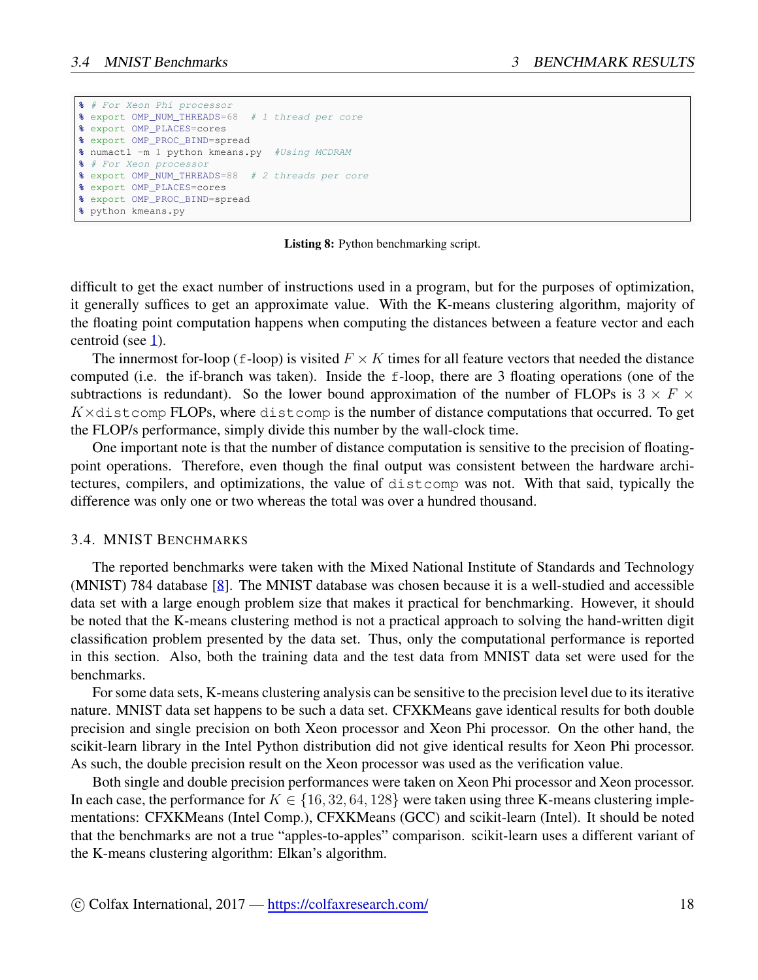```
% # For Xeon Phi processor
% export OMP_NUM_THREADS=68 # 1 thread per core
% export OMP_PLACES=cores
% export OMP_PROC_BIND=spread
% numactl -m 1 python kmeans.py #Using MCDRAM
% # For Xeon processor
% export OMP_NUM_THREADS=88 # 2 threads per core
% export OMP_PLACES=cores
% export OMP_PROC_BIND=spread
% python kmeans.py
```
Listing 8: Python benchmarking script.

difficult to get the exact number of instructions used in a program, but for the purposes of optimization, it generally suffices to get an approximate value. With the K-means clustering algorithm, majority of the floating point computation happens when computing the distances between a feature vector and each centroid (see [1](#page-3-0)).

The innermost for-loop (f-loop) is visited  $F \times K$  times for all feature vectors that needed the distance computed (i.e. the if-branch was taken). Inside the f-loop, there are 3 floating operations (one of the subtractions is redundant). So the lower bound approximation of the number of FLOPs is  $3 \times F \times$ *K×*distcomp FLOPs, where distcomp is the number of distance computations that occurred. To get the FLOP/s performance, simply divide this number by the wall-clock time.

One important note is that the number of distance computation is sensitive to the precision of floatingpoint operations. Therefore, even though the final output was consistent between the hardware architectures, compilers, and optimizations, the value of distcomp was not. With that said, typically the difference was only one or two whereas the total was over a hundred thousand.

## <span id="page-17-0"></span>3.4. MNIST BENCHMARKS

The reported benchmarks were taken with the Mixed National Institute of Standards and Technology (MNIST) 784 database [\[8](#page-20-6)]. The MNIST database was chosen because it is a well-studied and accessible data set with a large enough problem size that makes it practical for benchmarking. However, it should be noted that the K-means clustering method is not a practical approach to solving the hand-written digit classification problem presented by the data set. Thus, only the computational performance is reported in this section. Also, both the training data and the test data from MNIST data set were used for the benchmarks.

For some data sets, K-means clustering analysis can be sensitive to the precision level due to its iterative nature. MNIST data set happens to be such a data set. CFXKMeans gave identical results for both double precision and single precision on both Xeon processor and Xeon Phi processor. On the other hand, the scikit-learn library in the Intel Python distribution did not give identical results for Xeon Phi processor. As such, the double precision result on the Xeon processor was used as the verification value.

Both single and double precision performances were taken on Xeon Phi processor and Xeon processor. In each case, the performance for  $K \in \{16, 32, 64, 128\}$  were taken using three K-means clustering implementations: CFXKMeans (Intel Comp.), CFXKMeans (GCC) and scikit-learn (Intel). It should be noted that the benchmarks are not a true "apples-to-apples" comparison. scikit-learn uses a different variant of the K-means clustering algorithm: Elkan's algorithm.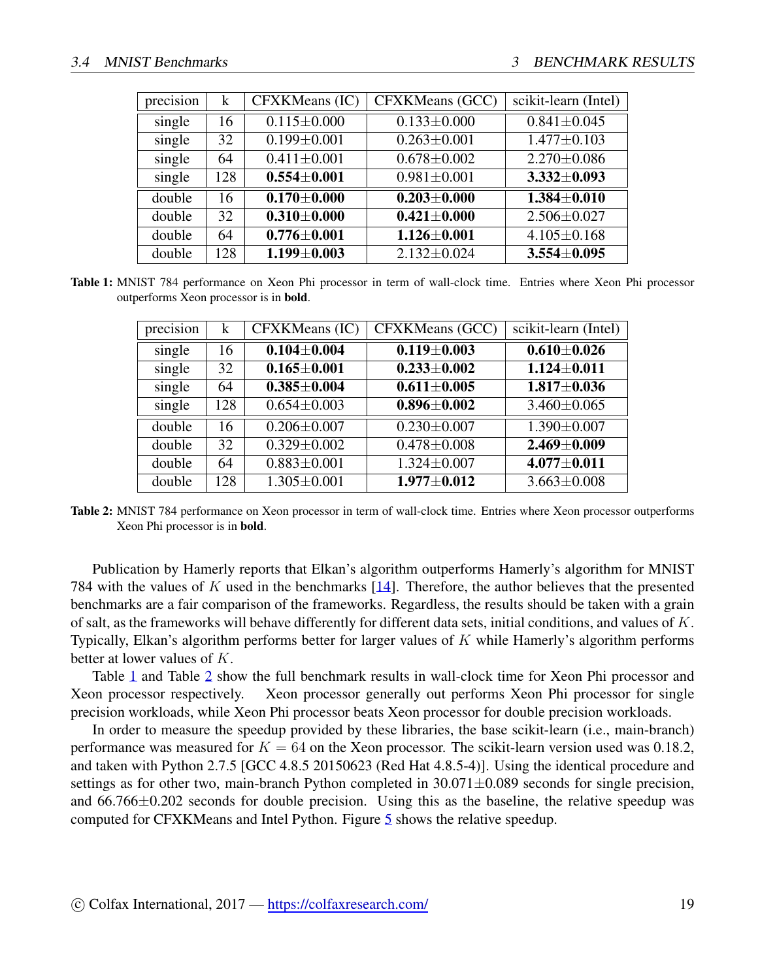<span id="page-18-0"></span>

| precision | k   | CFXKMeans (IC)    | CFXKMeans (GCC)   | scikit-learn (Intel) |
|-----------|-----|-------------------|-------------------|----------------------|
| single    | 16  | $0.115 \pm 0.000$ | $0.133 \pm 0.000$ | $0.841 \pm 0.045$    |
| single    | 32  | $0.199 \pm 0.001$ | $0.263 \pm 0.001$ | $1.477 \pm 0.103$    |
| single    | 64  | $0.411 \pm 0.001$ | $0.678 \pm 0.002$ | $2.270 \pm 0.086$    |
| single    | 128 | $0.554 \pm 0.001$ | $0.981 \pm 0.001$ | $3.332 \pm 0.093$    |
| double    | 16  | $0.170\pm0.000$   | $0.203 \pm 0.000$ | $1.384 \pm 0.010$    |
| double    | 32  | $0.310 \pm 0.000$ | $0.421 \pm 0.000$ | $2.506 \pm 0.027$    |
| double    | 64  | $0.776 \pm 0.001$ | $1.126 \pm 0.001$ | $4.105 \pm 0.168$    |
| double    | 128 | $1.199 \pm 0.003$ | $2.132 \pm 0.024$ | $3.554 \pm 0.095$    |

<span id="page-18-1"></span>Table 1: MNIST 784 performance on Xeon Phi processor in term of wall-clock time. Entries where Xeon Phi processor outperforms Xeon processor is in bold.

| precision | k   | CFXKMeans (IC)    | CFXKMeans (GCC)   | scikit-learn (Intel) |
|-----------|-----|-------------------|-------------------|----------------------|
| single    | 16  | $0.104 \pm 0.004$ | $0.119 + 0.003$   | $0.610 + 0.026$      |
| single    | 32  | $0.165 \pm 0.001$ | $0.233 \pm 0.002$ | $1.124 \pm 0.011$    |
| single    | 64  | $0.385 + 0.004$   | $0.611 \pm 0.005$ | $1.817 + 0.036$      |
| single    | 128 | $0.654 \pm 0.003$ | $0.896 \pm 0.002$ | $3.460 \pm 0.065$    |
| double    | 16  | $0.206 \pm 0.007$ | $0.230 \pm 0.007$ | $1.390 \pm 0.007$    |
| double    | 32  | $0.329 \pm 0.002$ | $0.478 + 0.008$   | $2.469 \pm 0.009$    |
| double    | 64  | $0.883 \pm 0.001$ | $1.324 \pm 0.007$ | $4.077 + 0.011$      |
| double    | 128 | $1.305 \pm 0.001$ | $1.977 + 0.012$   | $3.663 \pm 0.008$    |

Table 2: MNIST 784 performance on Xeon processor in term of wall-clock time. Entries where Xeon processor outperforms Xeon Phi processor is in bold.

Publication by Hamerly reports that Elkan's algorithm outperforms Hamerly's algorithm for MNIST 784 with the values of *K* used in the benchmarks [[14\]](#page-20-12). Therefore, the author believes that the presented benchmarks are a fair comparison of the frameworks. Regardless, the results should be taken with a grain of salt, as the frameworks will behave differently for different data sets, initial conditions, and values of *K*. Typically, Elkan's algorithm performs better for larger values of *K* while Hamerly's algorithm performs better at lower values of *K*.

Table [1](#page-18-0) and Table [2](#page-18-1) show the full benchmark results in wall-clock time for Xeon Phi processor and Xeon processor respectively. Xeon processor generally out performs Xeon Phi processor for single precision workloads, while Xeon Phi processor beats Xeon processor for double precision workloads.

In order to measure the speedup provided by these libraries, the base scikit-learn (i.e., main-branch) performance was measured for  $K = 64$  on the Xeon processor. The scikit-learn version used was 0.18.2, and taken with Python 2.7.5 [GCC 4.8.5 20150623 (Red Hat 4.8.5-4)]. Using the identical procedure and settings as for other two, main-branch Python completed in 30.071*±*0.089 seconds for single precision, and 66.766*±*0.202 seconds for double precision. Using this as the baseline, the relative speedup was computed for CFXKMeans and Intel Python. Figure [5](#page-19-1) shows the relative speedup.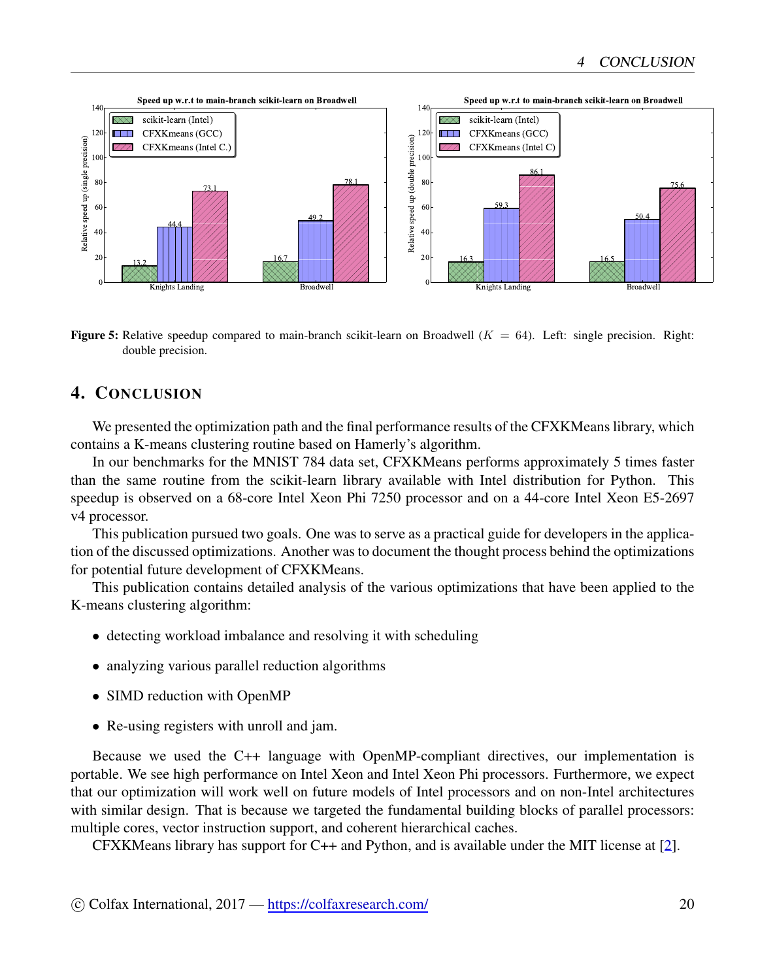<span id="page-19-1"></span>

**Figure 5:** Relative speedup compared to main-branch scikit-learn on Broadwell  $(K = 64)$ . Left: single precision. Right: double precision.

## <span id="page-19-0"></span>4. CONCLUSION

We presented the optimization path and the final performance results of the CFXKMeans library, which contains a K-means clustering routine based on Hamerly's algorithm.

In our benchmarks for the MNIST 784 data set, CFXKMeans performs approximately 5 times faster than the same routine from the scikit-learn library available with Intel distribution for Python. This speedup is observed on a 68-core Intel Xeon Phi 7250 processor and on a 44-core Intel Xeon E5-2697 v4 processor.

This publication pursued two goals. One was to serve as a practical guide for developers in the application of the discussed optimizations. Another was to document the thought process behind the optimizations for potential future development of CFXKMeans.

This publication contains detailed analysis of the various optimizations that have been applied to the K-means clustering algorithm:

- detecting workload imbalance and resolving it with scheduling
- analyzing various parallel reduction algorithms
- SIMD reduction with OpenMP
- Re-using registers with unroll and jam.

Because we used the C++ language with OpenMP-compliant directives, our implementation is portable. We see high performance on Intel Xeon and Intel Xeon Phi processors. Furthermore, we expect that our optimization will work well on future models of Intel processors and on non-Intel architectures with similar design. That is because we targeted the fundamental building blocks of parallel processors: multiple cores, vector instruction support, and coherent hierarchical caches.

CFXKMeans library has support for C++ and Python, and is available under the MIT license at [[2\]](#page-20-0).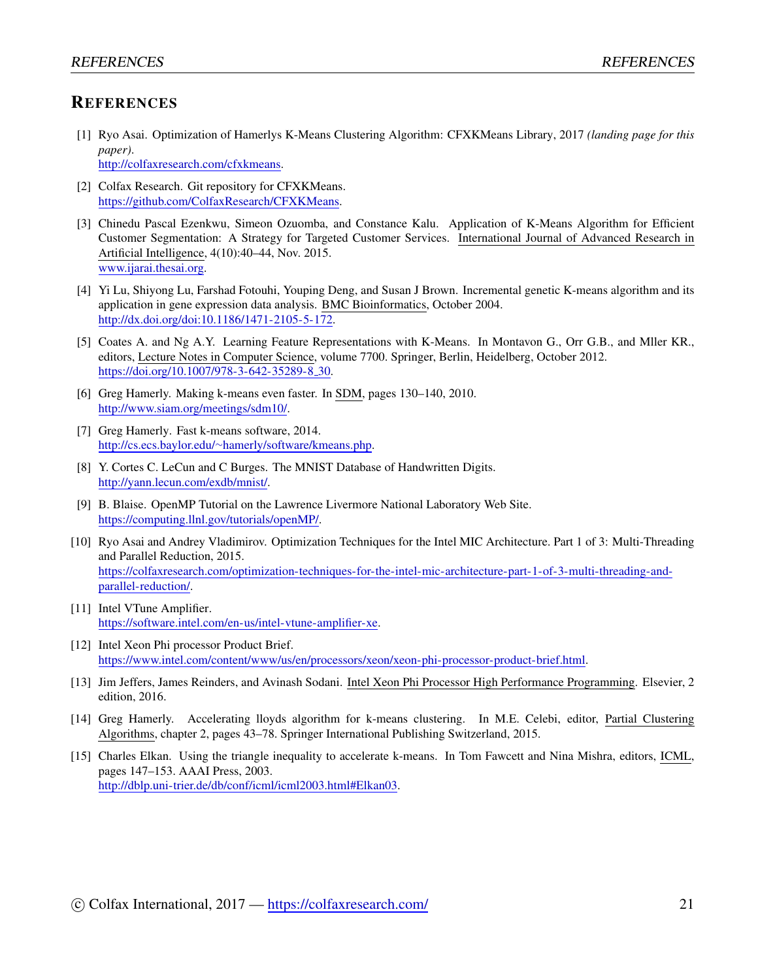## **REFERENCES**

[1] Ryo Asai. Optimization of Hamerlys K-Means Clustering Algorithm: CFXKMeans Library, 2017 *(landing page for this paper)*. [http://colfaxresearch.com/cfxkmeans.](http://colfaxresearch.com/cfxkmeans)

<span id="page-20-0"></span>[2] Colfax Research. Git repository for CFXKMeans. <https://github.com/ColfaxResearch/CFXKMeans>.

- <span id="page-20-1"></span>[3] Chinedu Pascal Ezenkwu, Simeon Ozuomba, and Constance Kalu. Application of K-Means Algorithm for Efficient Customer Segmentation: A Strategy for Targeted Customer Services. International Journal of Advanced Research in Artificial Intelligence, 4(10):40–44, Nov. 2015. [www.ijarai.thesai.org.](www.ijarai.thesai.org)
- <span id="page-20-2"></span>[4] Yi Lu, Shiyong Lu, Farshad Fotouhi, Youping Deng, and Susan J Brown. Incremental genetic K-means algorithm and its application in gene expression data analysis. BMC Bioinformatics, October 2004. [http://dx.doi.org/doi:10.1186/1471-2105-5-172.](http://dx.doi.org/doi:10.1186/1471-2105-5-172)
- <span id="page-20-3"></span>[5] Coates A. and Ng A.Y. Learning Feature Representations with K-Means. In Montavon G., Orr G.B., and Mller KR., editors, Lecture Notes in Computer Science, volume 7700. Springer, Berlin, Heidelberg, October 2012. [https://doi.org/10.1007/978-3-642-35289-8](https://doi.org/10.1007/978-3-642-35289-8_30) 30.
- <span id="page-20-4"></span>[6] Greg Hamerly. Making k-means even faster. In SDM, pages 130–140, 2010. <http://www.siam.org/meetings/sdm10/>.
- <span id="page-20-5"></span>[7] Greg Hamerly. Fast k-means software, 2014. http://cs.ecs.baylor.edu/*∼*[hamerly/software/kmeans.php](http://cs.ecs.baylor.edu/~hamerly/software/kmeans.php).
- <span id="page-20-6"></span>[8] Y. Cortes C. LeCun and C Burges. The MNIST Database of Handwritten Digits. <http://yann.lecun.com/exdb/mnist/>.
- <span id="page-20-7"></span>[9] B. Blaise. OpenMP Tutorial on the Lawrence Livermore National Laboratory Web Site. [https://computing.llnl.gov/tutorials/openMP/.](https://computing.llnl.gov/tutorials/openMP/)
- <span id="page-20-8"></span>[10] Ryo Asai and Andrey Vladimirov. Optimization Techniques for the Intel MIC Architecture. Part 1 of 3: Multi-Threading and Parallel Reduction, 2015. [https://colfaxresearch.com/optimization-techniques-for-the-intel-mic-architecture-part-1-of-3-multi-threading-and](https://colfaxresearch.com/optimization-techniques-for-the-intel-mic-architecture-part-1-of-3-multi-threading-and-parallel-reduction/)[parallel-reduction/.](https://colfaxresearch.com/optimization-techniques-for-the-intel-mic-architecture-part-1-of-3-multi-threading-and-parallel-reduction/)
- <span id="page-20-9"></span>[11] Intel VTune Amplifier. <https://software.intel.com/en-us/intel-vtune-amplifier-xe>.
- <span id="page-20-10"></span>[12] Intel Xeon Phi processor Product Brief. <https://www.intel.com/content/www/us/en/processors/xeon/xeon-phi-processor-product-brief.html>.
- <span id="page-20-11"></span>[13] Jim Jeffers, James Reinders, and Avinash Sodani. Intel Xeon Phi Processor High Performance Programming. Elsevier, 2 edition, 2016.
- <span id="page-20-12"></span>[14] Greg Hamerly. Accelerating lloyds algorithm for k-means clustering. In M.E. Celebi, editor, Partial Clustering Algorithms, chapter 2, pages 43–78. Springer International Publishing Switzerland, 2015.
- <span id="page-20-13"></span>[15] Charles Elkan. Using the triangle inequality to accelerate k-means. In Tom Fawcett and Nina Mishra, editors, ICML, pages 147–153. AAAI Press, 2003. <http://dblp.uni-trier.de/db/conf/icml/icml2003.html#Elkan03>.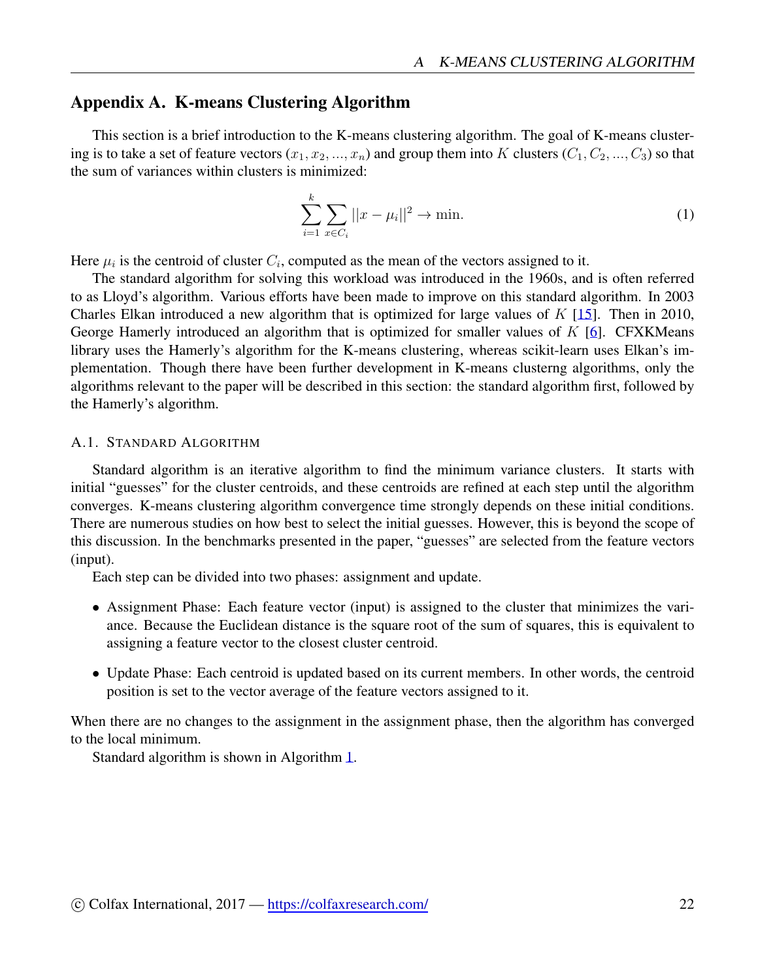## <span id="page-21-0"></span>Appendix A. K-means Clustering Algorithm

This section is a brief introduction to the K-means clustering algorithm. The goal of K-means clustering is to take a set of feature vectors  $(x_1, x_2, ..., x_n)$  and group them into K clusters  $(C_1, C_2, ..., C_3)$  so that the sum of variances within clusters is minimized:

$$
\sum_{i=1}^{k} \sum_{x \in C_i} ||x - \mu_i||^2 \to \min. \tag{1}
$$

Here  $\mu_i$  is the centroid of cluster  $C_i$ , computed as the mean of the vectors assigned to it.

The standard algorithm for solving this workload was introduced in the 1960s, and is often referred to as Lloyd's algorithm. Various efforts have been made to improve on this standard algorithm. In 2003 Charles Elkan introduced a new algorithm that is optimized for large values of *K* [[15\]](#page-20-13). Then in 2010, George Hamerly introduced an algorithm that is optimized for smaller values of *K* [[6\]](#page-20-4). CFXKMeans library uses the Hamerly's algorithm for the K-means clustering, whereas scikit-learn uses Elkan's implementation. Though there have been further development in K-means clusterng algorithms, only the algorithms relevant to the paper will be described in this section: the standard algorithm first, followed by the Hamerly's algorithm.

#### <span id="page-21-1"></span>A.1. STANDARD ALGORITHM

Standard algorithm is an iterative algorithm to find the minimum variance clusters. It starts with initial "guesses" for the cluster centroids, and these centroids are refined at each step until the algorithm converges. K-means clustering algorithm convergence time strongly depends on these initial conditions. There are numerous studies on how best to select the initial guesses. However, this is beyond the scope of this discussion. In the benchmarks presented in the paper, "guesses" are selected from the feature vectors (input).

Each step can be divided into two phases: assignment and update.

- Assignment Phase: Each feature vector (input) is assigned to the cluster that minimizes the variance. Because the Euclidean distance is the square root of the sum of squares, this is equivalent to assigning a feature vector to the closest cluster centroid.
- Update Phase: Each centroid is updated based on its current members. In other words, the centroid position is set to the vector average of the feature vectors assigned to it.

When there are no changes to the assignment in the assignment phase, then the algorithm has converged to the local minimum.

Standard algorithm is shown in Algorithm [1.](#page-22-0)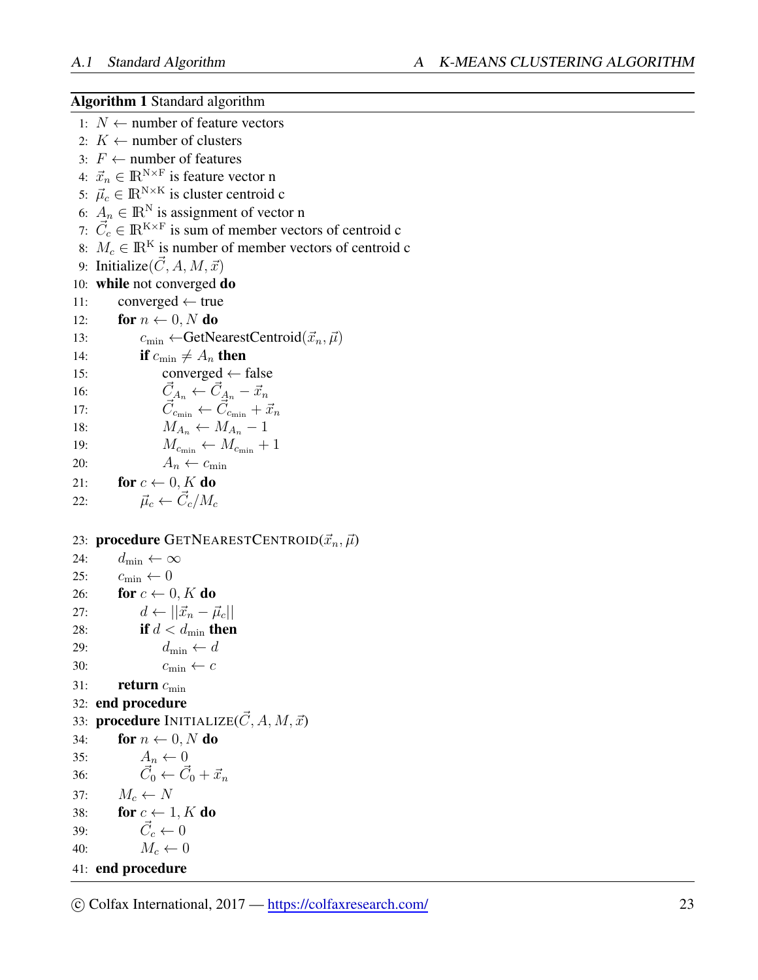<span id="page-22-0"></span>Algorithm 1 Standard algorithm 1: *N ←* number of feature vectors 2:  $K \leftarrow$  number of clusters 3: *F ←* number of features 4:  $\vec{x}_n \in \mathbb{R}^{N \times F}$  is feature vector n 5:  $\vec{\mu}_c \in \mathbb{R}^{N \times K}$  is cluster centroid c 6:  $A_n \in \mathbb{R}^N$  is assignment of vector n 7:  $\vec{C}_c \in \mathbb{R}^{K \times F}$  is sum of member vectors of centroid c 8:  $M_c \in \mathbb{R}^K$  is number of member vectors of centroid c 9: Initialize $(\vec{C}, A, M, \vec{x})$ 10: while not converged do 11: converged *←* true 12: **for**  $n \leftarrow 0, N$  do 13:  $c_{\min} \leftarrow \text{GetNearestCentroid}(\vec{x}_n, \vec{\mu})$ 14: **if**  $c_{\min} \neq A_n$  then 15: converged *←* false 16:  $\vec{C}_{A_n} \leftarrow \vec{C}_{A_n} - \vec{x}_n$ 17:  $\vec{C}_{c_{\min}} \leftarrow \vec{C}_{c_{\min}} + \vec{x}_n$ 18:  $M_{A_n} \leftarrow M_{A_n} - 1$ 19:  $M_{c_{\min}} \leftarrow M_{c_{\min}} + 1$ 20:  $A_n \leftarrow c_{\min}$ 21: **for**  $c \leftarrow 0$ , K do 22:  $\vec{\mu}_c \leftarrow \vec{C}_c / M_c$ 23: **procedure** GETNEARESTCENTROID $(\vec{x}_n, \vec{\mu})$ 24:  $d_{\min} \leftarrow \infty$ 25:  $c_{\min} \leftarrow 0$ 26: **for**  $c \leftarrow 0$ , K do 27:  $d \leftarrow ||\vec{x}_n - \vec{\mu}_c||$ 28: **if**  $d < d_{\min}$  **then** 29:  $d_{\min} \leftarrow d$ 30:  $c_{\min} \leftarrow c$ 31: **return**  $c_{\min}$ 32: end procedure 33: **procedure** INITIALIZE( $\vec{C}$ , A,  $M$ ,  $\vec{x}$ ) 34: **for**  $n \leftarrow 0$ , N do 35:  $A_n \leftarrow 0$ 36: *C⃗*  $\vec{C}_0 \leftarrow \vec{C}_0 + \vec{x}_n$ 37:  $M_c \leftarrow N$ 38: **for**  $c \leftarrow 1, K$  do 39: *C⃗*  $\vec{C}_c \leftarrow 0$ 40:  $M_c \leftarrow 0$ 41: end procedure

 $\circ$  Colfax International, 2017 — <https://colfaxresearch.com/> 23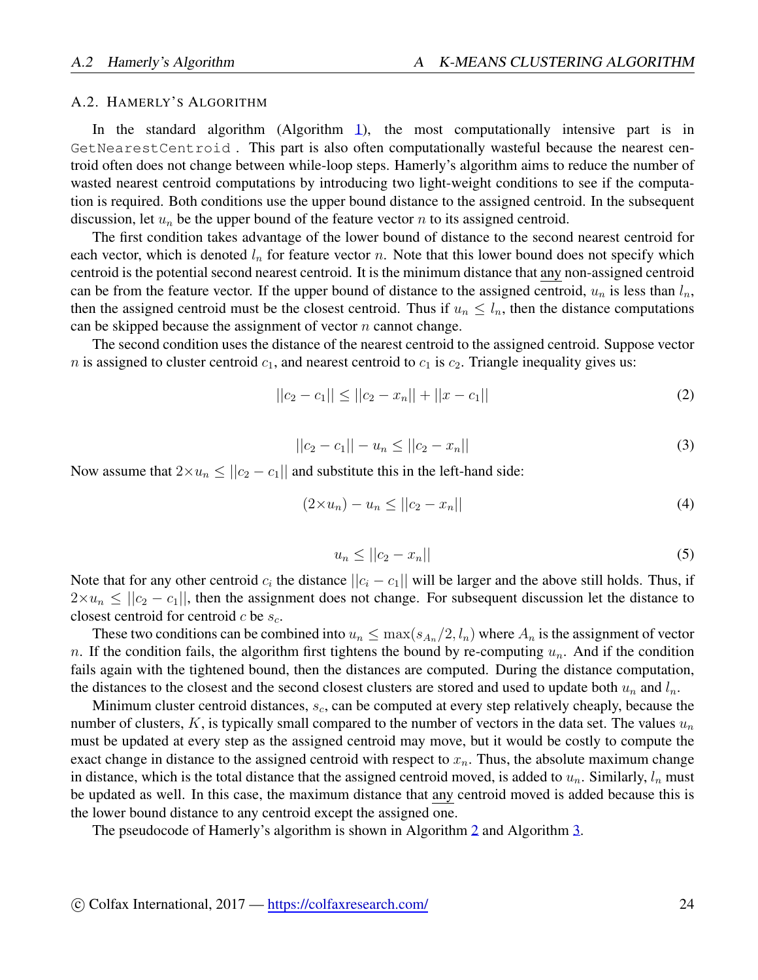#### <span id="page-23-0"></span>A.2. HAMERLY'S ALGORITHM

In the standard algorithm (Algorithm [1\)](#page-22-0), the most computationally intensive part is in GetNearestCentroid . This part is also often computationally wasteful because the nearest centroid often does not change between while-loop steps. Hamerly's algorithm aims to reduce the number of wasted nearest centroid computations by introducing two light-weight conditions to see if the computation is required. Both conditions use the upper bound distance to the assigned centroid. In the subsequent discussion, let *u<sup>n</sup>* be the upper bound of the feature vector *n* to its assigned centroid.

The first condition takes advantage of the lower bound of distance to the second nearest centroid for each vector, which is denoted  $l_n$  for feature vector *n*. Note that this lower bound does not specify which centroid is the potential second nearest centroid. It is the minimum distance that any non-assigned centroid can be from the feature vector. If the upper bound of distance to the assigned centroid,  $u_n$  is less than  $l_n$ , then the assigned centroid must be the closest centroid. Thus if  $u_n \leq l_n$ , then the distance computations can be skipped because the assignment of vector *n* cannot change.

The second condition uses the distance of the nearest centroid to the assigned centroid. Suppose vector  $n$  is assigned to cluster centroid  $c_1$ , and nearest centroid to  $c_1$  is  $c_2$ . Triangle inequality gives us:

$$
||c_2 - c_1|| \le ||c_2 - x_n|| + ||x - c_1|| \tag{2}
$$

$$
||c_2 - c_1|| - u_n \le ||c_2 - x_n|| \tag{3}
$$

Now assume that  $2 \times u_n \le ||c_2 - c_1||$  and substitute this in the left-hand side:

$$
(2 \times u_n) - u_n \le ||c_2 - x_n|| \tag{4}
$$

$$
u_n \le ||c_2 - x_n|| \tag{5}
$$

Note that for any other centroid  $c_i$  the distance  $||c_i - c_1||$  will be larger and the above still holds. Thus, if  $2 \times u_n \le ||c_2 - c_1||$ , then the assignment does not change. For subsequent discussion let the distance to closest centroid for centroid *c* be *sc*.

These two conditions can be combined into  $u_n \leq \max(s_{A_n}/2, l_n)$  where  $A_n$  is the assignment of vector *n*. If the condition fails, the algorithm first tightens the bound by re-computing  $u_n$ . And if the condition fails again with the tightened bound, then the distances are computed. During the distance computation, the distances to the closest and the second closest clusters are stored and used to update both  $u_n$  and  $l_n$ .

Minimum cluster centroid distances, *sc*, can be computed at every step relatively cheaply, because the number of clusters, *K*, is typically small compared to the number of vectors in the data set. The values *u<sup>n</sup>* must be updated at every step as the assigned centroid may move, but it would be costly to compute the exact change in distance to the assigned centroid with respect to  $x<sub>n</sub>$ . Thus, the absolute maximum change in distance, which is the total distance that the assigned centroid moved, is added to  $u_n$ . Similarly,  $l_n$  must be updated as well. In this case, the maximum distance that any centroid moved is added because this is the lower bound distance to any centroid except the assigned one.

The pseudocode of Hamerly's algorithm is shown in Algorithm [2](#page-24-0) and Algorithm [3.](#page-25-1)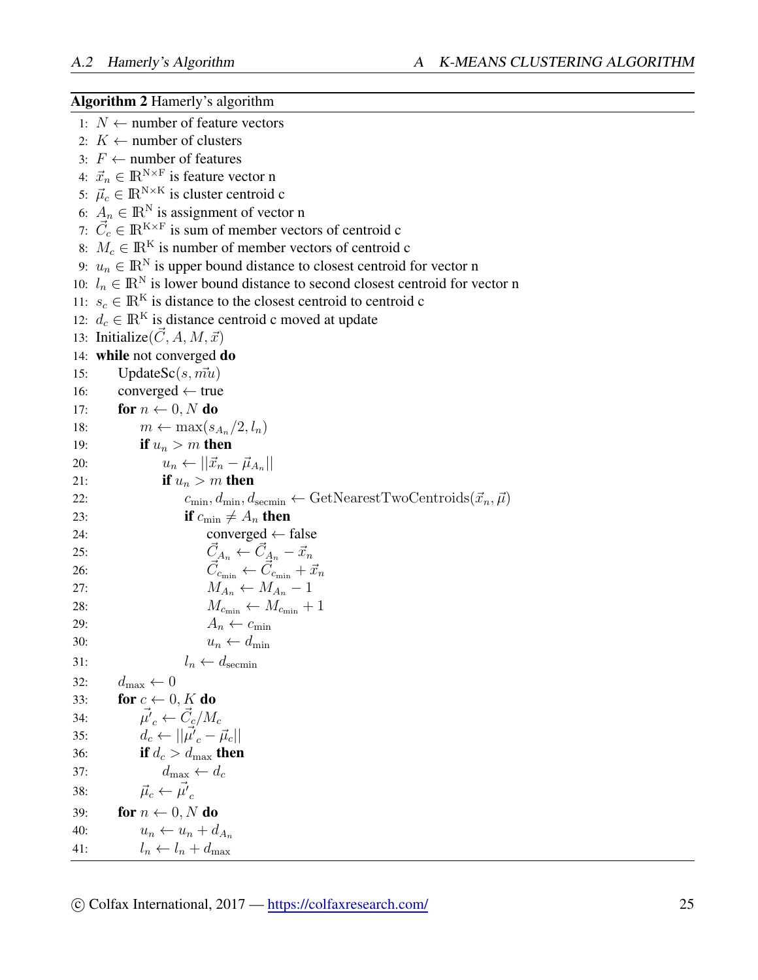# <span id="page-24-0"></span>Algorithm 2 Hamerly's algorithm

|     | 1: $N$ ← number of feature vectors                                                                                                                  |
|-----|-----------------------------------------------------------------------------------------------------------------------------------------------------|
|     | 2: $K \leftarrow$ number of clusters                                                                                                                |
|     | 3: $F \leftarrow$ number of features                                                                                                                |
|     | 4: $\vec{x}_n \in \mathbb{R}^{N \times F}$ is feature vector n                                                                                      |
|     | 5: $\vec{\mu}_c \in \mathbb{R}^{N \times K}$ is cluster centroid c                                                                                  |
|     | 6: $A_n \in \mathbb{R}^N$ is assignment of vector n                                                                                                 |
|     | 7: $\vec{C}_c \in \mathbb{R}^{K \times F}$ is sum of member vectors of centroid c                                                                   |
|     | 8: $M_c \in \mathbb{R}^K$ is number of member vectors of centroid c                                                                                 |
|     | 9: $u_n \in \mathbb{R}^N$ is upper bound distance to closest centroid for vector n                                                                  |
|     | 10: $l_n \in \mathbb{R}^N$ is lower bound distance to second closest centroid for vector n                                                          |
|     | 11: $s_c \in \mathbb{R}^K$ is distance to the closest centroid to centroid c                                                                        |
|     | 12: $d_c \in \mathbb{R}^K$ is distance centroid c moved at update                                                                                   |
|     | 13: Initialize $(\vec{C}, A, M, \vec{x})$                                                                                                           |
|     | 14: while not converged do                                                                                                                          |
| 15: | UpdateSc( $s$ , $m\bar{u}$ )                                                                                                                        |
| 16: | $converged \leftarrow true$                                                                                                                         |
| 17: | for $n \leftarrow 0, N$ do                                                                                                                          |
| 18: | $m \leftarrow \max(s_{A_n}/2, l_n)$                                                                                                                 |
| 19: | if $u_n > m$ then                                                                                                                                   |
| 20: | $u_n \leftarrow   \vec{x}_n - \vec{\mu}_{A_n}  $                                                                                                    |
| 21: | if $u_n > m$ then                                                                                                                                   |
| 22: | $c_{\min}, d_{\min}, d_{\text{seemin}} \leftarrow \text{GetNearestTwoCentroids}(\vec{x}_n, \vec{\mu})$                                              |
| 23: | if $c_{\min} \neq A_n$ then                                                                                                                         |
| 24: | converged $\leftarrow$ false                                                                                                                        |
| 25: | $\begin{array}{c}\n\vec{C}_{A_n} \leftarrow \vec{C}_{A_n} - \vec{x}_n \\ \vec{C}_{c_{\min}} \leftarrow \vec{C}_{c_{\min}} + \vec{x}_n\n\end{array}$ |
| 26: |                                                                                                                                                     |
| 27: | $M_{A_n} \leftarrow M_{A_n} - 1$                                                                                                                    |
| 28: | $M_{c_{\min}} \leftarrow M_{c_{\min}} + 1$                                                                                                          |
| 29: | $A_n \leftarrow c_{\min}$                                                                                                                           |
| 30: | $u_n \leftarrow d_{\min}$                                                                                                                           |
| 31: | $l_n \leftarrow d_{\text{seemin}}$                                                                                                                  |
| 32: | $d_{\max} \leftarrow 0$                                                                                                                             |
| 33: | for $c \leftarrow 0, K$ do                                                                                                                          |
| 34: | $\vec{\mu'}_c \leftarrow \vec{C}_c/M_c$                                                                                                             |
| 35: | $d_c \leftarrow   \mu'_{c} - \vec{\mu}_{c}  $                                                                                                       |
| 36: | if $d_c > d_{\text{max}}$ then                                                                                                                      |
| 37: | $d_{\max} \leftarrow d_c$                                                                                                                           |
| 38: | $\vec{\mu}_c \leftarrow \vec{\mu'}_c$                                                                                                               |
| 39: | for $n \leftarrow 0$ , N do                                                                                                                         |
| 40: | $u_n \leftarrow u_n + d_{A_n}$                                                                                                                      |
| 41: | $l_n \leftarrow l_n + d_{\max}$                                                                                                                     |
|     |                                                                                                                                                     |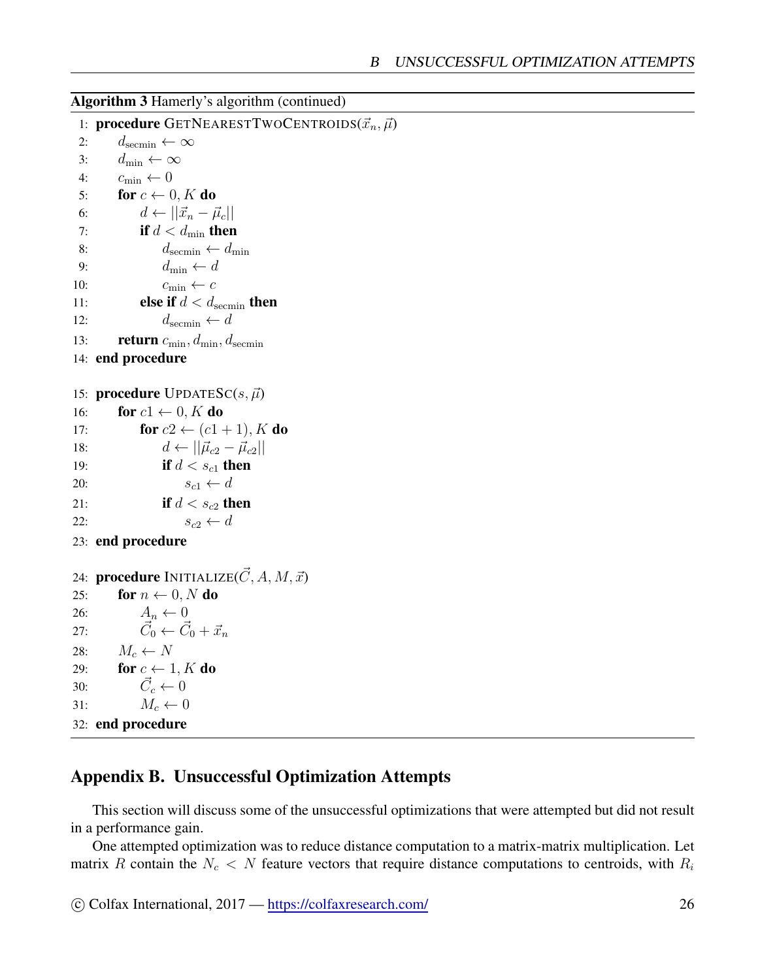#### <span id="page-25-1"></span>Algorithm 3 Hamerly's algorithm (continued)

```
1: procedure GETNEARESTTWOCENTROIDS(\vec{x}_n, \vec{\mu})2: d_{\text{seemin}} \leftarrow \infty3: d_{\min} \leftarrow \infty4: c_{\min} \leftarrow 05: for c \leftarrow 0, K do
 6: d \leftarrow ||\vec{x}_n - \vec{\mu}_c||7: if d < d_{\min} then
 8: d_{\text{seemin}} \leftarrow d_{\text{min}}9: d_{\min} \leftarrow d10: c_{\min} \leftarrow c11: else if d < d<sub>secmin</sub> then
12: d_{\text{seemin}} \leftarrow d13: return c_{\min}, d_{\min}, d_{\text{seemin}}14: end procedure
```

```
15: procedure UPDATESC(s, \vec{\mu})16: for c1 \leftarrow 0, K do
17: for c2 \leftarrow (c1 + 1), K do
18: d \leftarrow ||\vec{\mu}_{c2} - \vec{\mu}_{c2}||19: if d < s_{c1} then
20: s_{c1} \leftarrow d21: if d < s_{c2} then
22: s_{c2} \leftarrow d
```

```
23: end procedure
```

```
24: procedure INITIALIZE(\vec{C}, A, M, \vec{x})
25: for n \leftarrow 0, N do
26: A_n \leftarrow 027: \vec{C}_0 \leftarrow \vec{C}_0 + \vec{x}_n28: M_c \leftarrow N29: for c \leftarrow 1, K do
30: \vec{C}_c \leftarrow 031: M_c \leftarrow 032: end procedure
```
## <span id="page-25-0"></span>Appendix B. Unsuccessful Optimization Attempts

This section will discuss some of the unsuccessful optimizations that were attempted but did not result in a performance gain.

One attempted optimization was to reduce distance computation to a matrix-matrix multiplication. Let matrix *R* contain the  $N_c < N$  feature vectors that require distance computations to centroids, with  $R_i$ 

```
⃝c Colfax International, 2017 — https://colfaxresearch.com/ 26
```